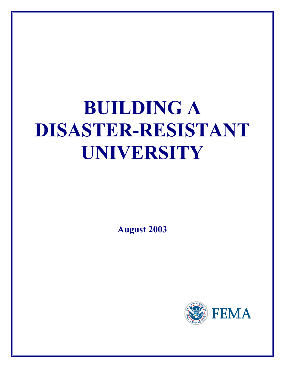# **BUILDING A DISASTER-RESISTANT UNIVERSITY**

**August 2003** 

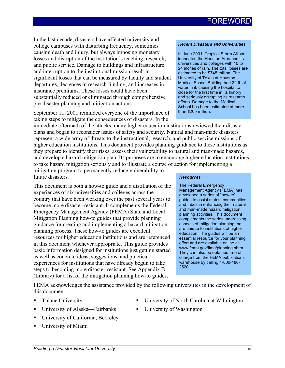# **FOREWORD**

In the last decade, disasters have affected university and college campuses with disturbing frequency, sometimes causing death and injury, but always imposing monetary losses and disruption of the institution's teaching, research, and public service. Damage to buildings and infrastructure and interruption to the institutional mission result in significant losses that can be measured by faculty and student departures, decreases in research funding, and increases in insurance premiums. These losses could have been substantially reduced or eliminated through comprehensive pre-disaster planning and mitigation actions.

September 11, 2001 reminded everyone of the importance of taking steps to mitigate the consequences of disasters. In the

#### *Recent Disasters and Universities*

In June 2001, Tropical Storm Allison inundated the Houston Area and its universities and colleges with 10 to 24 inches of rain. The total losses are estimated to be \$745 million. The University of Texas at Houston Medical School Building had 22 ft. of water in it, causing the hospital to close for the first time in its history and seriously disrupting its research efforts. Damage to the Medical School has been estimated at more than \$205 million.

immediate aftermath of the attacks, many higher education institutions reviewed their disaster plans and began to reconsider issues of safety and security. Natural and man-made disasters represent a wide array of threats to the instructional, research, and public service missions of higher education institutions. This document provides planning guidance to these institutions as they prepare to identify their risks, assess their vulnerability to natural and man-made hazards, and develop a hazard mitigation plan. Its purposes are to encourage higher education institutions to take hazard mitigation seriously and to illustrate a course of action for implementing a

mitigation program to permanently reduce vulnerability to future disasters.

This document is both a how-to guide and a distillation of the experiences of six universities and colleges across the country that have been working over the past several years to become more disaster-resistant. It complements the Federal Emergency Management Agency (FEMA) State and Local Mitigation Planning how-to guides that provide planning guidance for creating and implementing a hazard mitigation planning process. These how-to guides are excellent resources for higher education institutions and are referenced in this document whenever appropriate. This guide provides basic information designed for institutions just getting started as well as concrete ideas, suggestions, and practical experiences for institutions that have already begun to take steps to becoming more disaster-resistant. See Appendix B (Library) for a list of the mitigation planning how-to guides.

#### *Resources*

The Federal Emergency Management Agency (FEMA) has developed a series of "how-to" guides to assist states, communities, and tribes in enhancing their natural and man-made hazard mitigation planning activities. This document complements the series, addressing aspects of mitigation planning that are unique to institutions of higher education. The guides will be an essential resource for your planning effort and are available online at www.fema.gov/fima/planning.shtm. They can also be obtained free of charge from the FEMA publications warehouse by calling 1-800-480- 2520.

FEMA acknowledges the assistance provided by the following universities in the development of this document:

Tulane University

- University of North Carolina at Wilmington
- University of Alaska—Fairbanks
- University of California, Berkeley
- University of Miami

■ University of Washington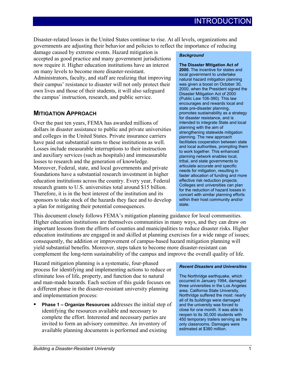Disaster-related losses in the United States continue to rise. At all levels, organizations and governments are adjusting their behavior and policies to reflect the importance of reducing

damage caused by extreme events. Hazard mitigation is accepted as good practice and many government jurisdictions now require it. Higher education institutions have an interest on many levels to become more disaster-resistant. Administrators, faculty, and staff are realizing that improving their campus' resistance to disaster will not only protect their own lives and those of their students, it will also safeguard the campus' instruction, research, and public service.

### **MITIGATION APPROACH**

Over the past ten years, FEMA has awarded millions of dollars in disaster assistance to public and private universities and colleges in the United States. Private insurance carriers have paid out substantial sums to these institutions as well. Losses include measurable interruptions to their instruction and auxiliary services (such as hospitals) and immeasurable losses to research and the generation of knowledge. Moreover, Federal, state, and local governments and private foundations have a substantial research investment in higher education institutions across the country. Every year, Federal research grants to U.S. universities total around \$15 billion. Therefore, it is in the best interest of the institution and its sponsors to take stock of the hazards they face and to develop a plan for mitigating their potential consequences.

#### *Background*

**The Disaster Mitigation Act of 2000.** The incentive for states and local government to undertake natural hazard mitigation planning was given a boost on October 30, 2000, when the President signed the Disaster Mitigation Act of 2000 (Public Law 106-390). This law encourages and rewards local and state pre-disaster planning, promotes sustainability as a strategy for disaster resistance, and is intended to integrate State and local planning with the aim of strengthening statewide mitigation planning. The new approach facilitates cooperation between state and local authorities, prompting them to work together. This enhanced planning network enables local, tribal, and state governments to articulate accurate and specific needs for mitigation, resulting in faster allocation of funding and more effective risk reduction projects. Colleges and universities can plan for the reduction of hazard losses in concert with similar planning efforts within their host community and/or state.

This document closely follows FEMA's mitigation planning guidance for local communities. Higher education institutions are themselves communities in many ways, and they can draw on important lessons from the efforts of counties and municipalities to reduce disaster risks. Higher education institutions are engaged in and skilled at planning exercises for a wide range of issues; consequently, the addition or improvement of campus-based hazard mitigation planning will yield substantial benefits. Moreover, steps taken to become more disaster-resistant can complement the long-term sustainability of the campus and improve the overall quality of life.

Hazard mitigation planning is a systematic, four-phased process for identifying and implementing actions to reduce or eliminate loss of life, property, and function due to natural and man-made hazards. Each section of this guide focuses on a different phase in the disaster-resistant university planning and implementation process:

 **Phase 1 – Organize Resources** addresses the initial step of identifying the resources available and necessary to complete the effort. Interested and necessary parties are invited to form an advisory committee. An inventory of available planning documents is performed and existing

#### *Recent Disasters and Universities*

The Northridge earthquake, which occurred in January 1994, damaged three universities in the Los Angeles area. California State University, Northridge suffered the most: nearly all of its buildings were damaged and the university was forced to close for one month. It was able to reopen to its 30,000 students with 450 temporary trailers serving as the only classrooms. Damages were estimated at \$380 million.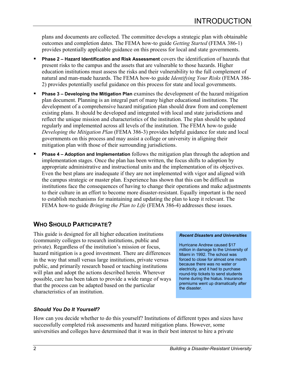plans and documents are collected. The committee develops a strategic plan with obtainable outcomes and completion dates. The FEMA how-to guide *Getting Started* (FEMA 386-1) provides potentially applicable guidance on this process for local and state governments.

- **Phase 2 Hazard Identification and Risk Assessment** covers the identification of hazards that present risks to the campus and the assets that are vulnerable to those hazards. Higher education institutions must assess the risks and their vulnerability to the full complement of natural and man-made hazards. The FEMA how-to guide *Identifying Your Risks* (FEMA 386- 2) provides potentially useful guidance on this process for state and local governments.
- **Phase 3 Developing the Mitigation Plan** examines the development of the hazard mitigation plan document. Planning is an integral part of many higher educational institutions. The development of a comprehensive hazard mitigation plan should draw from and complement existing plans. It should be developed and integrated with local and state jurisdictions and reflect the unique mission and characteristics of the institution. The plan should be updated regularly and implemented across all levels of the institution. The FEMA how-to guide *Developing the Mitigation Plan* (FEMA 386-3) provides helpful guidance for state and local governments on this process and may assist a college or university in aligning their mitigation plan with those of their surrounding jurisdictions.
- **Phase 4 Adoption and Implementation** follows the mitigation plan through the adoption and implementation stages. Once the plan has been written, the focus shifts to adoption by appropriate administrative and instructional units and the implementation of its objectives. Even the best plans are inadequate if they are not implemented with vigor and aligned with the campus strategic or master plan. Experience has shown that this can be difficult as institutions face the consequences of having to change their operations and make adjustments to their culture in an effort to become more disaster-resistant. Equally important is the need to establish mechanisms for maintaining and updating the plan to keep it relevant. The FEMA how-to guide *Bringing the Plan to Life* (FEMA 386-4) addresses these issues.

## **WHO SHOULD PARTICIPATE?**

This guide is designed for all higher education institutions (community colleges to research institutions, public and private). Regardless of the institution's mission or focus, hazard mitigation is a good investment. There are differences in the way that small versus large institutions, private versus public, and primarily research based or teaching institutions will plan and adopt the actions described herein. Wherever possible, care has been taken to provide a wide range of ways that the process can be adapted based on the particular characteristics of an institution.

### *Should You Do It Yourself?*

#### *Recent Disasters and Universities*

Hurricane Andrew caused \$17 million in damage to the University of Miami in 1992. The school was forced to close for almost one month because there was no water or electricity, and it had to purchase round-trip tickets to send students home during the hiatus. Insurance premiums went up dramatically after the disaster.

How can you decide whether to do this yourself? Institutions of different types and sizes have successfully completed risk assessments and hazard mitigation plans. However, some universities and colleges have determined that it was in their best interest to hire a private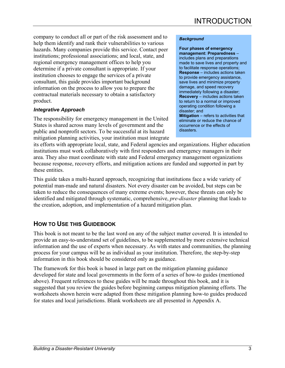company to conduct all or part of the risk assessment and to help them identify and rank their vulnerabilities to various hazards. Many companies provide this service. Contact peer institutions; professional associations; and local, state, and regional emergency management offices to help you determine if a private consultant is appropriate. If your institution chooses to engage the services of a private consultant, this guide provides important background information on the process to allow you to prepare the contractual materials necessary to obtain a satisfactory product.

### *Integrative Approach*

The responsibility for emergency management in the United States is shared across many levels of government and the public and nonprofit sectors. To be successful at its hazard mitigation planning activities, your institution must integrate

#### *Background*

**Four phases of emergency management: Preparedness** – includes plans and preparations made to save lives and property and to facilitate response operations; **Response** – includes actions taken to provide emergency assistance, save lives and minimize property damage, and speed recovery immediately following a disaster; **Recovery** – includes actions taken to return to a normal or improved operating condition following a disaster; and **Mitigation** – refers to activities that eliminate or reduce the chance of occurrence or the effects of disasters.

its efforts with appropriate local, state, and Federal agencies and organizations. Higher education institutions must work collaboratively with first responders and emergency managers in their area. They also must coordinate with state and Federal emergency management organizations because response, recovery efforts, and mitigation actions are funded and supported in part by these entities.

This guide takes a multi-hazard approach, recognizing that institutions face a wide variety of potential man-made and natural disasters. Not every disaster can be avoided, but steps can be taken to reduce the consequences of many extreme events; however, these threats can only be identified and mitigated through systematic, comprehensive, *pre-disaster* planning that leads to the creation, adoption, and implementation of a hazard mitigation plan.

### **HOW TO USE THIS GUIDEBOOK**

This book is not meant to be the last word on any of the subject matter covered. It is intended to provide an easy-to-understand set of guidelines, to be supplemented by more extensive technical information and the use of experts when necessary. As with states and communities, the planning process for your campus will be as individual as your institution. Therefore, the step-by-step information in this book should be considered only as guidance.

The framework for this book is based in large part on the mitigation planning guidance developed for state and local governments in the form of a series of how-to guides (mentioned above). Frequent references to these guides will be made throughout this book, and it is suggested that you review the guides before beginning campus mitigation planning efforts. The worksheets shown herein were adapted from these mitigation planning how-to guides produced for states and local jurisdictions. Blank worksheets are all presented in Appendix A.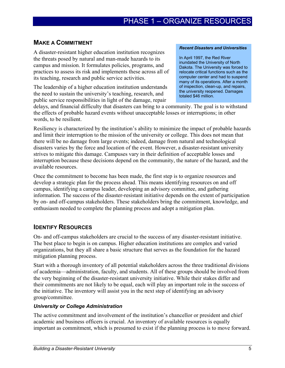### **MAKE A COMMITMENT**

A disaster-resistant higher education institution recognizes the threats posed by natural and man-made hazards to its campus and mission. It formulates policies, programs, and practices to assess its risk and implements these across all of its teaching, research and public service activities.

The leadership of a higher education institution understands the need to sustain the university's teaching, research, and public service responsibilities in light of the damage, repair

#### *Recent Disasters and Universities*

In April 1997, the Red River inundated the University of North Dakota. The University was forced to relocate critical functions such as the computer center and had to suspend many of its operations. After a month of inspection, clean-up, and repairs, the university reopened. Damages totaled \$46 million.

delays, and financial difficulty that disasters can bring to a community. The goal is to withstand the effects of probable hazard events without unacceptable losses or interruptions; in other words, to be resilient.

Resiliency is characterized by the institution's ability to minimize the impact of probable hazards and limit their interruption to the mission of the university or college. This does not mean that there will be no damage from large events; indeed, damage from natural and technological disasters varies by the force and location of the event. However, a disaster-resistant university strives to mitigate this damage. Campuses vary in their definition of acceptable losses and interruption because these decisions depend on the community, the nature of the hazard, and the available resources.

Once the commitment to become has been made, the first step is to organize resources and develop a strategic plan for the process ahead. This means identifying resources on and off campus, identifying a campus leader, developing an advisory committee, and gathering information. The success of the disaster-resistant initiative depends on the extent of participation by on- and off-campus stakeholders. These stakeholders bring the commitment, knowledge, and enthusiasm needed to complete the planning process and adopt a mitigation plan.

### **IDENTIFY RESOURCES**

On- and off-campus stakeholders are crucial to the success of any disaster-resistant initiative. The best place to begin is on campus. Higher education institutions are complex and varied organizations, but they all share a basic structure that serves as the foundation for the hazard mitigation planning process.

Start with a thorough inventory of all potential stakeholders across the three traditional divisions of academia—administration, faculty, and students. All of these groups should be involved from the very beginning of the disaster-resistant university initiative. While their stakes differ and their commitments are not likely to be equal, each will play an important role in the success of the initiative. The inventory will assist you in the next step of identifying an advisory group/committee.

### *University or College Administration*

The active commitment and involvement of the institution's chancellor or president and chief academic and business officers is crucial. An inventory of available resources is equally important as commitment, which is presumed to exist if the planning process is to move forward.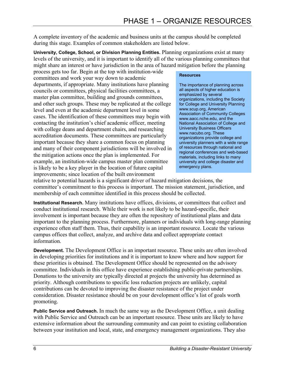A complete inventory of the academic and business units at the campus should be completed during this stage. Examples of common stakeholders are listed below.

**University, College, School, or Division Planning Entities.** Planning organizations exist at many levels of the university, and it is important to identify all of the various planning committees that might share an interest or have jurisdiction in the area of hazard mitigation before the planning

process gets too far. Begin at the top with institution-wide committees and work your way down to academic departments, if appropriate. Many institutions have planning councils or committees, physical facilities committees, a master plan committee, building and grounds committees, and other such groups. These may be replicated at the college level and even at the academic department level in some cases. The identification of these committees may begin with contacting the institution's chief academic officer, meeting with college deans and department chairs, and researching accreditation documents. These committees are particularly important because they share a common focus on planning and many of their component jurisdictions will be involved in the mitigation actions once the plan is implemented. For example, an institution-wide campus master plan committee is likely to be a key player in the location of future capital improvements; since location of the built environment

#### **Resources**

The importance of planning across all aspects of higher education is emphasized by several organizations, including the Society for College and University Planning www.scup.org, American Association of Community Colleges www.aacc.nche.edu, and the National Association of College and University Business Officers www.nacubo.org. These organizations provide college and university planners with a wide range of resources through national and regional conferences and web-based materials, including links to many university and college disaster and emergency plans.

relative to potential hazards is a significant driver of hazard mitigation decisions, the committee's commitment to this process is important. The mission statement, jurisdiction, and membership of each committee identified in this process should be collected.

**Institutional Research.** Many institutions have offices, divisions, or committees that collect and conduct institutional research. While their work is not likely to be hazard-specific, their involvement is important because they are often the repository of institutional plans and data important to the planning process. Furthermore, planners or individuals with long-range planning experience often staff them. Thus, their capability is an important resource. Locate the various campus offices that collect, analyze, and archive data and collect appropriate contact information.

**Development.** The Development Office is an important resource. These units are often involved in developing priorities for institutions and it is important to know where and how support for these priorities is obtained. The Development Office should be represented on the advisory committee. Individuals in this office have experience establishing public-private partnerships. Donations to the university are typically directed at projects the university has determined as priority. Although contributions to specific loss reduction projects are unlikely, capital contributions can be devoted to improving the disaster resistance of the project under consideration. Disaster resistance should be on your development office's list of goals worth promoting.

**Public Service and Outreach.** In much the same way as the Development Office, a unit dealing with Public Service and Outreach can be an important resource. These units are likely to have extensive information about the surrounding community and can point to existing collaboration between your institution and local, state, and emergency management organizations. They also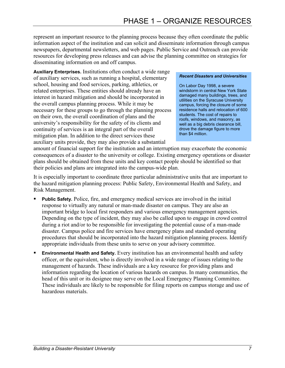represent an important resource to the planning process because they often coordinate the public information aspect of the institution and can solicit and disseminate information through campus newspapers, departmental newsletters, and web pages. Public Service and Outreach can provide resources for developing press releases and can advise the planning committee on strategies for disseminating information on and off campus.

**Auxiliary Enterprises.** Institutions often conduct a wide range of auxiliary services, such as running a hospital, elementary school, housing and food services, parking, athletics, or related enterprises. These entities should already have an interest in hazard mitigation and should be incorporated in the overall campus planning process. While it may be necessary for these groups to go through the planning process on their own, the overall coordination of plans and the university's responsibility for the safety of its clients and continuity of services is an integral part of the overall mitigation plan. In addition to the direct services these auxiliary units provide, they may also provide a substantial

#### *Recent Disasters and Universities*

On Labor Day 1998, a severe windstorm in central New York State damaged many buildings, trees, and utilities on the Syracuse University campus, forcing the closure of some residence halls and relocation of 600 students. The cost of repairs to roofs, windows, and masonry, as well as a big debris clearance bill, drove the damage figure to more than \$4 million.

amount of financial support for the institution and an interruption may exacerbate the economic consequences of a disaster to the university or college. Existing emergency operations or disaster plans should be obtained from these units and key contact people should be identified so that their policies and plans are integrated into the campus-wide plan.

It is especially important to coordinate three particular administrative units that are important to the hazard mitigation planning process: Public Safety, Environmental Health and Safety, and Risk Management.

- **Public Safety.** Police, fire, and emergency medical services are involved in the initial response to virtually any natural or man-made disaster on campus. They are also an important bridge to local first responders and various emergency management agencies. Depending on the type of incident, they may also be called upon to engage in crowd control during a riot and/or to be responsible for investigating the potential cause of a man-made disaster. Campus police and fire services have emergency plans and standard operating procedures that should be incorporated into the hazard mitigation planning process. Identify appropriate individuals from these units to serve on your advisory committee.
- **Environmental Health and Safety.** Every institution has an environmental health and safety officer, or the equivalent, who is directly involved in a wide range of issues relating to the management of hazards. These individuals are a key resource for providing plans and information regarding the location of various hazards on campus. In many communities, the head of this unit or its designee may serve on the Local Emergency Planning Committee. These individuals are likely to be responsible for filing reports on campus storage and use of hazardous materials.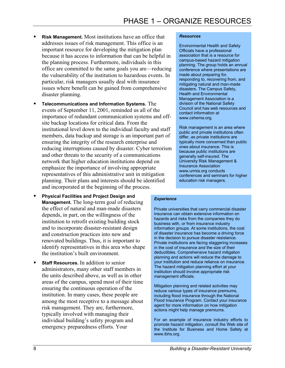- **Risk Management.** Most institutions have an office that addresses issues of risk management. This office is an important resource for developing the mitigation plan because it has access to information that can be helpful in the planning process. Furthermore, individuals in this office are committed to the same goals you are—reducing the vulnerability of the institution to hazardous events. In particular, risk managers usually deal with insurance issues where benefit can be gained from comprehensive disaster planning.
- **Telecommunications and Information Systems.** The events of September 11, 2001, reminded us all of the importance of redundant communication systems and offsite backup locations for critical data. From the institutional level down to the individual faculty and staff members, data backup and storage is an important part of ensuring the integrity of the research enterprise and reducing interruptions caused by disaster. Cyber terrorism and other threats to the security of a communications network that higher education institutions depend on emphasize the importance of involving appropriate representatives of this administrative unit in mitigation planning. Their plans and interests should be identified and incorporated at the beginning of the process.
- **Physical Facilities and Project Design and Management.** The long-term goal of reducing the effect of natural and man-made disasters depends, in part, on the willingness of the institution to retrofit existing building stock and to incorporate disaster-resistant design and construction practices into new and renovated buildings. Thus, it is important to identify representatives in this area who shape the institution's built environment.
- **Staff Resources.** In addition to senior administrators, many other staff members in the units described above, as well as in other areas of the campus, spend most of their time ensuring the continuous operation of the institution. In many cases, these people are among the most receptive to a message about risk management. They are, furthermore, typically involved with managing their individual building's safety program and emergency preparedness efforts. Your

#### *Resources*

Environmental Health and Safety Officials have a professional association that is a resource for campus-based hazard mitigation planning. The group holds an annual conference where presentations are made about preparing for, responding to, recovering from, and mitigating natural and man-made disasters. The Campus Safety, Health and Environmental Management Association is a division of the National Safety Council and has web resources and contact information at www.cshema.org.

Risk management is an area where public and private institutions often differ, as private institutions are typically more concerned than public ones about insurance. This is because public institutions are generally self-insured. The University Risk Management & Insurance Association www.urmia.org conducts conferences and seminars for higher education risk managers.

#### *Experience*

Private universities that carry commercial disaster insurance can obtain extensive information on hazards and risks from the companies they do business with, or from insurance industry information groups. At some institutions, the cost of disaster insurance has become a driving force in the decision to pursue disaster resistance. Private institutions are facing staggering increases in the cost of insurance and the size of their deductibles. Comprehensive hazard mitigation planning and actions will reduce the damage to your institution and reduce reliance on insurance. The hazard mitigation planning effort at your institution should involve appropriate risk management officials.

Mitigation planning and related activities may reduce various types of insurance premiums, including flood insurance through the National Flood Insurance Program. Contact your insurance agent for more information on how mitigation actions might help manage premiums.

For an example of insurance industry efforts to promote hazard mitigation, consult the Web site of the Institute for Business and Home Safety at www.ibhs.org.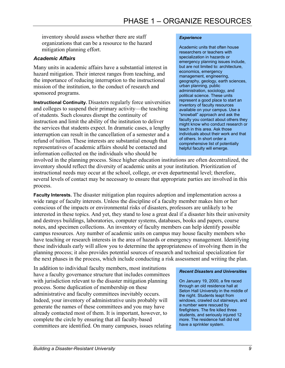inventory should assess whether there are staff organizations that can be a resource to the hazard mitigation planning effort.

### *Academic Affairs*

Many units in academic affairs have a substantial interest in hazard mitigation. Their interest ranges from teaching, and the importance of reducing interruption to the instructional mission of the institution, to the conduct of research and sponsored programs.

**Instructional Continuity.** Disasters regularly force universities and colleges to suspend their primary activity—the teaching of students. Such closures disrupt the continuity of instruction and limit the ability of the institution to deliver the services that students expect. In dramatic cases, a lengthy interruption can result in the cancellation of a semester and a refund of tuition. These interests are substantial enough that representatives of academic affairs should be contacted and information collected on the individuals who should be

#### *Experience*

Academic units that often house researchers or teachers with specialization in hazards or emergency planning issues include, but are not limited to: architecture, economics, emergency management, engineering, geography, geology, earth sciences, urban planning, public administration, sociology, and political science. These units represent a good place to start an inventory of faculty resources available on your campus. Use a "snowball" approach and ask the faculty you contact about others they might know who conduct research or teach in this area. Ask those individuals about their work and that of others. In short order a comprehensive list of potentially helpful faculty will emerge.

involved in the planning process. Since higher education institutions are often decentralized, the inventory should reflect the diversity of academic units at your institution. Prioritization of instructional needs may occur at the school, college, or even departmental level; therefore, several levels of contact may be necessary to ensure that appropriate parties are involved in this process.

**Faculty Interests.** The disaster mitigation plan requires adoption and implementation across a wide range of faculty interests. Unless the discipline of a faculty member makes him or her conscious of the impacts or environmental risks of disasters, professors are unlikely to be interested in these topics. And yet, they stand to lose a great deal if a disaster hits their university and destroys buildings, laboratories, computer systems, databases, books and papers, course notes, and specimen collections. An inventory of faculty members can help identify possible campus resources. Any number of academic units on campus may house faculty members who have teaching or research interests in the area of hazards or emergency management. Identifying these individuals early will allow you to determine the appropriateness of involving them in the planning process; it also provides potential sources of research and technical specialization for the next phases in the process, which include conducting a risk assessment and writing the plan.

In addition to individual faculty members, most institutions have a faculty governance structure that includes committees with jurisdiction relevant to the disaster mitigation planning process. Some duplication of membership on these administrative and faculty committees inevitably occurs. Indeed, your inventory of administrative units probably will generate the names of these committees and you may have already contacted most of them. It is important, however, to complete the circle by ensuring that all faculty-based committees are identified. On many campuses, issues relating

#### *Recent Disasters and Universities*

On January 19, 2000, a fire raced through an old residence hall at Seton Hall University in the middle of the night. Students leapt from windows, crawled out stairways, and a number were rescued by firefighters. The fire killed three students, and seriously injured 12 more. The residence hall did not have a sprinkler system.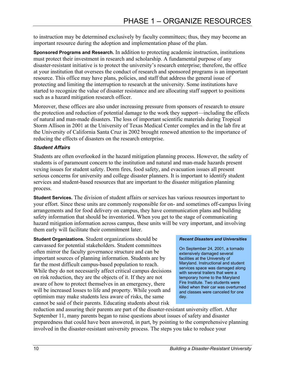to instruction may be determined exclusively by faculty committees; thus, they may become an important resource during the adoption and implementation phase of the plan.

**Sponsored Programs and Research.** In addition to protecting academic instruction, institutions must protect their investment in research and scholarship. A fundamental purpose of any disaster-resistant initiative is to protect the university's research enterprise; therefore, the office at your institution that oversees the conduct of research and sponsored programs is an important resource. This office may have plans, policies, and staff that address the general issue of protecting and limiting the interruption to research at the university. Some institutions have started to recognize the value of disaster resistance and are allocating staff support to positions such as a hazard mitigation research officer.

Moreover, these offices are also under increasing pressure from sponsors of research to ensure the protection and reduction of potential damage to the work they support—including the effects of natural and man-made disasters. The loss of important scientific materials during Tropical Storm Allison in 2001 at the University of Texas Medical Center complex and in the lab fire at the University of California Santa Cruz in 2002 brought renewed attention to the importance of reducing the effects of disasters on the research enterprise.

### *Student Affairs*

Students are often overlooked in the hazard mitigation planning process. However, the safety of students is of paramount concern to the institution and natural and man-made hazards present vexing issues for student safety. Dorm fires, food safety, and evacuation issues all present serious concerns for university and college disaster planners. It is important to identify student services and student-based resources that are important to the disaster mitigation planning process.

**Student Services.** The division of student affairs or services has various resources important to your effort. Since these units are commonly responsible for on- and sometimes off-campus living arrangements and for food delivery on campus, they have communication plans and building safety information that should be inventoried. When you get to the stage of communicating hazard mitigation information across campus, these units will be very important, and involving them early will facilitate their commitment later.

**Student Organizations.** Student organizations should be canvassed for potential stakeholders. Student committees often mirror the faculty governance structure and can be important sources of planning information. Students are by far the most difficult campus-based population to reach. While they do not necessarily affect critical campus decisions on risk reduction, they are the objects of it. If they are not aware of how to protect themselves in an emergency, there will be increased losses to life and property. While youth and optimism may make students less aware of risks, the same cannot be said of their parents. Educating students about risk

### *Recent Disasters and Universities*

On September 24, 2001, a tornado extensively damaged several facilities at the University of Maryland. Instructional and student services space was damaged along with several trailers that were a temporary home to the Maryland Fire Institute. Two students were killed when their car was overturned and classes were canceled for one day.

reduction and assuring their parents are part of the disaster-resistant university effort. After September 11, many parents began to raise questions about issues of safety and disaster preparedness that could have been answered, in part, by pointing to the comprehensive planning involved in the disaster-resistant university process. The steps you take to reduce your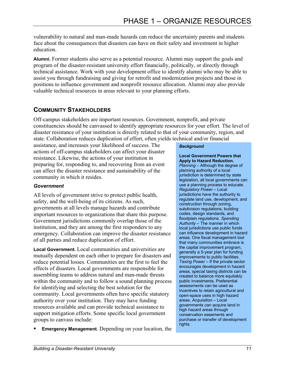vulnerability to natural and man-made hazards can reduce the uncertainty parents and students face about the consequences that disasters can have on their safety and investment in higher education.

**Alumni.** Former students also serve as a potential resource. Alumni may support the goals and program of the disaster-resistant university effort financially, politically, or directly through technical assistance. Work with your development office to identify alumni who may be able to assist you through fundraising and giving for retrofit and modernization projects and those in positions to influence government and nonprofit resource allocation. Alumni may also provide valuable technical resources in areas relevant to your planning efforts.

### **COMMUNITY STAKEHOLDERS**

Off-campus stakeholders are important resources. Government, nonprofit, and private constituencies should be canvassed to identify appropriate resources for your effort. The level of disaster resistance of your institution is directly related to that of your community, region, and state. Collaboration reduces duplication of effort, often yields technical and/or financial

assistance, and increases your likelihood of success. The actions of off-campus stakeholders can affect your disaster resistance. Likewise, the actions of your institution in preparing for, responding to, and recovering from an event can affect the disaster resistance and sustainability of the community in which it resides.

### *Government*

All levels of government strive to protect public health, safety, and the well-being of its citizens. As such, governments at all levels manage hazards and contribute important resources to organizations that share this purpose. Government jurisdictions commonly overlap those of the institution, and they are among the first responders to any emergency. Collaboration can improve the disaster resistance of all parties and reduce duplication of effort.

**Local Government.** Local communities and universities are mutually dependent on each other to prepare for disasters and reduce potential losses. Communities are the first to feel the effects of disasters. Local governments are responsible for assembling teams to address natural and man-made threats within the community and to follow a sound planning process for identifying and selecting the best solution for the community. Local governments often have specific statutory authority over your institution. They may have funding resources available and can provide technical assistance to support mitigation efforts. Some specific local government groups to canvass include:

**Emergency Management**. Depending on your location, the

#### *Background*

**Local Government Powers that Apply to Hazard Reduction.**  *Planning* – Although the degree of planning authority of a local jurisdiction is determined by state legislation, all local governments can use a planning process to educate. *Regulatory Power* – Local jurisdictions have the authority to regulate land use, development, and construction through zoning, subdivision regulations, building codes, design standards, and floodplain regulations. *Spending Authority* – The manner in which local jurisdictions use public funds can influence development in hazard areas. One fiscal management tool that many communities embrace is the capital improvement program, generally a 5-year plan for funding improvements to public facilities. *Taxing Power* – If the private sector encourages development in hazard areas, special taxing districts can be created to balance more equitably public investments. Preferential assessments can be used as incentives to retain agricultural and open-space uses in high hazard areas. *Acquisition* – Local governments can acquire land in high hazard areas through conservation easements and purchase or transfer of development rights.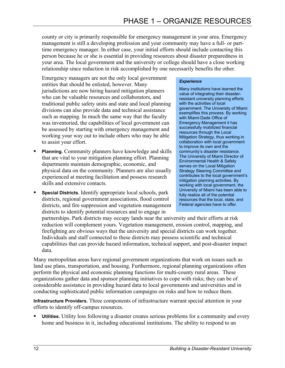county or city is primarily responsible for emergency management in your area. Emergency management is still a developing profession and your community may have a full- or parttime emergency manager. In either case, your initial efforts should include contacting this person because he or she is essential in providing resources about disaster preparedness in your area. The local government and the university or college should have a close working relationship since reduction in risk accomplished by one necessarily benefits the other.

Emergency managers are not the only local government entities that should be enlisted, however. Many jurisdictions are now hiring hazard mitigation planners who can be valuable resources and collaborators, and traditional public safety units and state and local planning divisions can also provide data and technical assistance such as mapping. In much the same way that the faculty was inventoried, the capabilities of local government can be assessed by starting with emergency management and working your way out to include others who may be able to assist your effort.

- **Planning.** Community planners have knowledge and skills that are vital to your mitigation planning effort. Planning departments maintain demographic, economic, and physical data on the community. Planners are also usually experienced at meeting facilitation and possess research skills and extensive contacts.
- **Special Districts.** Identify appropriate local schools, park districts, regional government associations, flood control districts, and fire suppression and vegetation management districts to identify potential resources and to engage in

#### *Experience*

Many institutions have learned the value of integrating their disasterresistant university planning efforts with the activities of local government. The University of Miami exemplifies this process. By working with Miami-Dade Office of Emergency Management it has successfully mobilized financial resources through the Local Mitigation Strategy, thus working in collaboration with local government to improve its own and the community's disaster resistance. The University of Miami Director of Environmental Health & Safety serves on the Local Mitigation Strategy Steering Committee and contributes to the local government's mitigation planning activities. By working with local government, the University of Miami has been able to fully realize all of the potential resources that the local, state, and Federal agencies have to offer.

partnerships. Park districts may occupy lands near the university and their efforts at risk reduction will complement yours. Vegetation management, erosion control, mapping, and firefighting are obvious ways that the university and special districts can work together. Individuals and staff connected to these districts may possess scientific and technical capabilities that can provide hazard information, technical support, and post-disaster impact data.

Many metropolitan areas have regional government organizations that work on issues such as land use plans, transportation, and housing. Furthermore, regional planning organizations often perform the physical and economic planning functions for multi-county rural areas. These organizations gather data and sponsor planning initiatives to cope with risks; they can be of considerable assistance in providing hazard data to local governments and universities and in conducting sophisticated public information campaigns on risks and how to reduce them.

**Infrastructure Providers.** Three components of infrastructure warrant special attention in your efforts to identify off-campus resources.

 **Utilities.** Utility loss following a disaster creates serious problems for a community and every home and business in it, including educational institutions. The ability to respond to an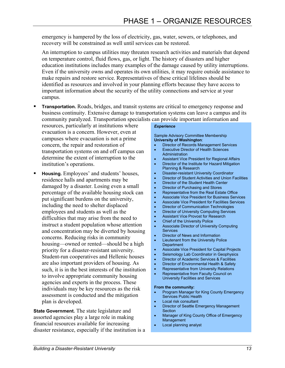emergency is hampered by the loss of electricity, gas, water, sewers, or telephones, and recovery will be constrained as well until services can be restored.

An interruption to campus utilities may threaten research activities and materials that depend on temperature control, fluid flows, gas, or light. The history of disasters and higher education institutions includes many examples of the damage caused by utility interruptions. Even if the university owns and operates its own utilities, it may require outside assistance to make repairs and restore service. Representatives of these critical lifelines should be identified as resources and involved in your planning efforts because they have access to important information about the security of the utility connections and service at your campus.

 **Transportation.** Roads, bridges, and transit systems are critical to emergency response and business continuity. Extensive damage to transportation systems can leave a campus and its community paralyzed. Transportation specialists can provide important information and

resources, particularly at institutions where evacuation is a concern. However, even at campuses where evacuation is not a prime concern, the repair and restoration of transportation systems on and off campus can determine the extent of interruption to the institution's operations.

 **Housing.** Employees' and students' houses, residence halls and apartments may be damaged by a disaster. Losing even a small percentage of the available housing stock can put significant burdens on the university, including the need to shelter displaced employees and students as well as the difficulties that may arise from the need to instruct a student population whose attention and concentration may be diverted by housing concerns. Reducing risks in community housing—owned or rented—should be a high priority for a disaster-resistant university. Student-run cooperatives and Hellenic houses are also important providers of housing. As such, it is in the best interests of the institution to involve appropriate community housing agencies and experts in the process. These individuals may be key resources as the risk assessment is conducted and the mitigation plan is developed.

**State Government.** The state legislature and assorted agencies play a large role in making financial resources available for increasing disaster resistance, especially if the institution is a

### *Experience*

Sample Advisory Committee Membership **University of Washington**:

- Director of Records Management Services
- Executive Director of Health Sciences Administration
- Assistant Vice President for Regional Affairs • Director of the Institute for Hazard Mitigation
- Planning & Research
- Disaster-resistant University Coordinator
- Director of Student Activities and Union Facilities
- Director of the Student Health Center
- Director of Purchasing and Stores
- Representative from the Real Estate Office
- Associate Vice President for Business Services
- Associate Vice President for Facilities Services
- Director of Communication Technologies
- Director of University Computing Services
- Assistant Vice Provost for Research
- Chief of the University Police
- Associate Director of University Computing Services
- Director of News and Information
- Lieutenant from the University Police **Department**
- Associate Vice President for Capital Projects
- Seismology Lab Coordinator in Geophysics
- Director of Academic Services & Facilities
- Director of Environmental Health & Safety
- Representative from University Relations
- Representative from Faculty Council on University Facilities and Services

#### **From the community:**

- Program Manager for King County Emergency Services Public Health
- Local risk consultant
- Director of Seattle Emergency Management **Section**
- Manager of King County Office of Emergency Management
- Local planning analyst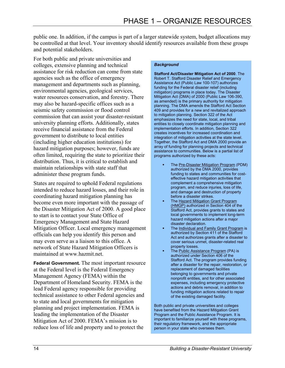public one. In addition, if the campus is part of a larger statewide system, budget allocations may be controlled at that level. Your inventory should identify resources available from these groups and potential stakeholders.

For both public and private universities and colleges, extensive planning and technical assistance for risk reduction can come from state agencies such as the office of emergency management and departments such as planning, environmental agencies, geological services, water resources conservation, and forestry. There may also be hazard-specific offices such as a seismic safety commission or flood control commission that can assist your disaster-resistant university planning efforts. Additionally, states receive financial assistance from the Federal government to distribute to local entities (including higher education institutions) for hazard mitigation purposes; however, funds are often limited, requiring the state to prioritize their distribution. Thus, it is critical to establish and maintain relationships with state staff that administer these program funds.

States are required to uphold Federal regulations intended to reduce hazard losses, and their role in coordinating hazard mitigation planning has become even more important with the passage of the Disaster Mitigation Act of 2000. A good place to start is to contact your State Office of Emergency Management and State Hazard Mitigation Officer. Local emergency management officials can help you identify this person and may even serve as a liaison to this office. A network of State Hazard Mitigation Officers is maintained at www.hazmit.net.

**Federal Government.** The most important resource at the Federal level is the Federal Emergency Management Agency (FEMA) within the Department of Homeland Security. FEMA is the lead Federal agency responsible for providing technical assistance to other Federal agencies and to state and local governments for mitigation planning and project implementation. FEMA is leading the implementation of the Disaster Mitigation Act of 2000. FEMA's mission is to reduce loss of life and property and to protect the

#### *Background*

**Stafford Act/Disaster Mitigation Act of 2000**. The Robert T. Stafford Disaster Relief and Emergency Assistance Act (Public Law 100-107) authorizes funding for the Federal disaster relief (including mitigation) programs in place today. The Disaster Mitigation Act (DMA) of 2000 (Public Law 106-390, as amended) is the primary authority for mitigation planning. The DMA amends the Stafford Act Section 409 and provides for a new and revitalized approach to mitigation planning. Section 322 of the Act emphasizes the need for state, local, and tribal entities to closely coordinate mitigation planning and implementation efforts. In addition, Section 322 creates incentives for increased coordination and integration of mitigation activities at the state level. Together, the Stafford Act and DMA 2000 provide an array of funding for planning projects and technical assistance to communities. Below is a partial list of programs authorized by these acts:

- The Pre-Disaster Mitigation Program (PDM) authorized by the DMA 2000, provides funding to states and communities for costeffective hazard mitigation activities that complement a comprehensive mitigation program, and reduce injuries, loss of life, and damage and destruction of property before a disaster strikes.
- The Hazard Mitigation Grant Program (HMGP) authorized in Section 404 of the Stafford Act, provides grants to states and local governments to implement long-term hazard mitigation actions after a major disaster declaration.
- The Individual and Family Grant Program is authorized by Section 411 of the Stafford Act and authorizes grants after a disaster to cover serious unmet, disaster-related real property losses.
- The Public Assistance Program (PA) is authorized under Section 406 of the Stafford Act. The program provides funding after a disaster for the repair, restoration, or replacement of damaged facilities belonging to governments and private nonprofit entities, and for other associated expenses, including emergency protective actions and debris removal, in addition to funding mitigation actions related to repair of the existing damaged facility.

Both public and private universities and colleges have benefited from the Hazard Mitigation Grant Program and the Public Assistance Program. It is important to familiarize yourself with these programs, their regulatory framework, and the appropriate person in your state who oversees them.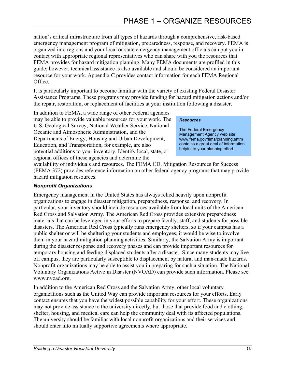nation's critical infrastructure from all types of hazards through a comprehensive, risk-based emergency management program of mitigation, preparedness, response, and recovery. FEMA is organized into regions and your local or state emergency management officials can put you in contact with appropriate regional representatives who can share with you the resources that FEMA provides for hazard mitigation planning. Many FEMA documents are profiled in this guide; however, technical assistance is also available and should be considered an important resource for your work. Appendix C provides contact information for each FEMA Regional Office.

It is particularly important to become familiar with the variety of existing Federal Disaster Assistance Programs. These programs may provide funding for hazard mitigation actions and/or the repair, restoration, or replacement of facilities at your institution following a disaster.

In addition to FEMA, a wide range of other Federal agencies may be able to provide valuable resources for your work. The U.S. Geological Survey, National Weather Service, National Oceanic and Atmospheric Administration, and the Departments of Energy, Housing and Urban Development, Education, and Transportation, for example, are also potential additions to your inventory. Identify local, state, or regional offices of these agencies and determine the

#### *Resources*

The Federal Emergency Management Agency web site www.fema.gov/fima/planning.shtm contains a great deal of information helpful to your planning effort.

availability of individuals and resources. The FEMA CD, Mitigation Resources for Success (FEMA 372) provides reference information on other federal agency programs that may provide hazard mitigation resources.

### *Nonprofit Organizations*

Emergency management in the United States has always relied heavily upon nonprofit organizations to engage in disaster mitigation, preparedness, response, and recovery. In particular, your inventory should include resources available from local units of the American Red Cross and Salvation Army. The American Red Cross provides extensive preparedness materials that can be leveraged in your efforts to prepare faculty, staff, and students for possible disasters. The American Red Cross typically runs emergency shelters, so if your campus has a public shelter or will be sheltering your students and employees, it would be wise to involve them in your hazard mitigation planning activities. Similarly, the Salvation Army is important during the disaster response and recovery phases and can provide important resources for temporary housing and feeding displaced students after a disaster. Since many students may live off campus, they are particularly susceptible to displacement by natural and man-made hazards. Nonprofit organizations may be able to assist you in preparing for such a situation. The National Voluntary Organizations Active in Disaster (NVOAD) can provide such information. Please see www.nvoad.org.

In addition to the American Red Cross and the Salvation Army, other local voluntary organizations such as the United Way can provide important resources for your efforts. Early contact ensures that you have the widest possible capability for your effort. These organizations may not provide assistance to the university directly, but those that provide food and clothing, shelter, housing, and medical care can help the community deal with its affected populations. The university should be familiar with local nonprofit organizations and their services and should enter into mutually supportive agreements where appropriate.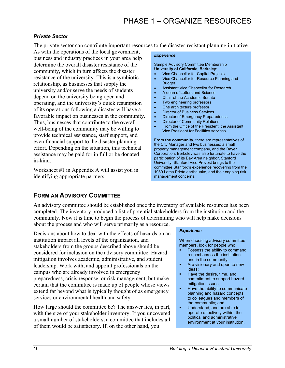### *Private Sector*

The private sector can contribute important resources to the disaster-resistant planning initiative.

As with the operations of the local government, business and industry practices in your area help determine the overall disaster resistance of the community, which in turn affects the disaster resistance of the university. This is a symbiotic relationship, as businesses that supply the university and/or serve the needs of students depend on the university being open and operating, and the university's quick resumption of its operations following a disaster will have a favorable impact on businesses in the community. Thus, businesses that contribute to the overall well-being of the community may be willing to provide technical assistance, staff support, and even financial support to the disaster planning effort. Depending on the situation, this technical assistance may be paid for in full or be donated in-kind.

Worksheet #1 in Appendix A will assist you in identifying appropriate partners.

#### *Experience*

Sample Advisory Committee Membership **University of California, Berkeley**:

- Vice Chancellor for Capital Projects
- Vice Chancellor for Resource Planning and **Budget**
- Assistant Vice Chancellor for Research
- A dean of Letters and Science
- Chair of the Academic Senate
- Two engineering professors
- One architecture professor
- Director of Business Services
- **Director of Emergency Preparedness**
- Director of Community Relations
- From the Office of the President, the Assistant Vice President for Facilities services

**From the community**, there are representatives of the City Manager and two businesses: a small property management company, and the Bayer Corporation. Berkeley was also fortunate to have the participation of its Bay Area neighbor, Stanford University; Stanford Vice Provost brings to the committee Stanford's experience recovering from the 1989 Loma Prieta earthquake, and their ongoing risk management concerns.

### **FORM AN ADVISORY COMMITTEE**

An advisory committee should be established once the inventory of available resources has been completed. The inventory produced a list of potential stakeholders from the institution and the community. Now it is time to begin the process of determining who will help make decisions about the process and who will serve primarily as a resource.

Decisions about how to deal with the effects of hazards on an institution impact all levels of the organization, and stakeholders from the groups described above should be considered for inclusion on the advisory committee. Hazard mitigation involves academic, administrative, and student leadership. Work with, and appoint professionals on the campus who are already involved in emergency preparedness, crisis response, or risk management, but make certain that the committee is made up of people whose views extend far beyond what is typically thought of as emergency services or environmental health and safety.

How large should the committee be? The answer lies, in part, with the size of your stakeholder inventory. If you uncovered a small number of stakeholders, a committee that includes all of them would be satisfactory. If, on the other hand, you

#### *Experience*

When choosing advisory committee members, look for people who:

- Possess the ability to command respect across the institution and in the community;
- **Are visionary and open to new** ideas;
- **Have the desire, time, and** commitment to support hazard mitigation issues;
- Have the ability to communicate planning and hazard concepts to colleagues and members of the community; and
- **Understand, and are able to** operate effectively within, the political and administrative environment at your institution.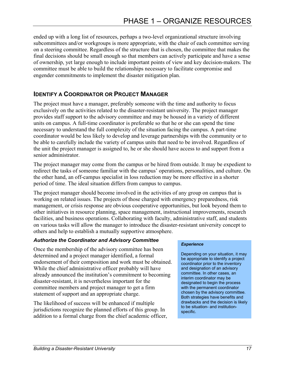ended up with a long list of resources, perhaps a two-level organizational structure involving subcommittees and/or workgroups is more appropriate, with the chair of each committee serving on a steering committee. Regardless of the structure that is chosen, the committee that makes the final decisions should be small enough so that members can actively participate and have a sense of ownership, yet large enough to include important points of view and key decision-makers. The committee must be able to build the relationships necessary to facilitate compromise and engender commitments to implement the disaster mitigation plan.

### **IDENTIFY A COORDINATOR OR PROJECT MANAGER**

The project must have a manager, preferably someone with the time and authority to focus exclusively on the activities related to the disaster-resistant university. The project manager provides staff support to the advisory committee and may be housed in a variety of different units on campus. A full-time coordinator is preferable so that he or she can spend the time necessary to understand the full complexity of the situation facing the campus. A part-time coordinator would be less likely to develop and leverage partnerships with the community or to be able to carefully include the variety of campus units that need to be involved. Regardless of the unit the project manager is assigned to, he or she should have access to and support from a senior administrator.

The project manager may come from the campus or be hired from outside. It may be expedient to redirect the tasks of someone familiar with the campus' operations, personalities, and culture. On the other hand, an off-campus specialist in loss reduction may be more effective in a shorter period of time. The ideal situation differs from campus to campus.

The project manager should become involved in the activities of any group on campus that is working on related issues. The projects of those charged with emergency preparedness, risk management, or crisis response are obvious cooperative opportunities, but look beyond them to other initiatives in resource planning, space management, instructional improvements, research facilities, and business operations. Collaborating with faculty, administrative staff, and students on various tasks will allow the manager to introduce the disaster-resistant university concept to others and help to establish a mutually supportive atmosphere.

### *Authorize the Coordinator and Advisory Committee*

Once the membership of the advisory committee has been determined and a project manager identified, a formal endorsement of their composition and work must be obtained. While the chief administrative officer probably will have already announced the institution's commitment to becoming disaster-resistant, it is nevertheless important for the committee members and project manager to get a firm statement of support and an appropriate charge.

The likelihood of success will be enhanced if multiple jurisdictions recognize the planned efforts of this group. In addition to a formal charge from the chief academic officer,

#### *Experience*

Depending on your situation, it may be appropriate to identify a project coordinator prior to the inventory and designation of an advisory committee. In other cases, an interim coordinator may be designated to begin the process with the permanent coordinator chosen by the advisory committee. Both strategies have benefits and drawbacks and the decision is likely to be situation- and institutionspecific.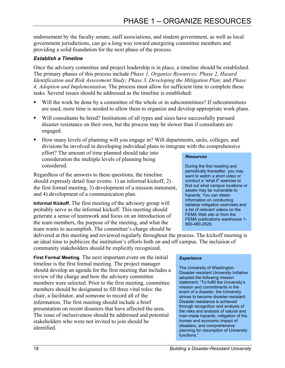endorsement by the faculty senate, staff associations, and student government, as well as local government jurisdictions, can go a long way toward energizing committee members and providing a solid foundation for the next phase of the process.

### *Establish a Timeline*

Once the advisory committee and project leadership is in place, a timeline should be established. The primary phases of this process include *Phase 1, Organize Resources; Phase 2, Hazard Identification and Risk Assessment Study; Phase 3, Developing the Mitigation Plan;* and *Phase 4, Adoption and Implementation.* The process must allow for sufficient time to complete these tasks. Several issues should be addressed as the timeline is established:

- Will the work be done by a committee of the whole or in subcommittees? If subcommittees are used, more time is needed to allow them to organize and develop appropriate work plans.
- Will consultants be hired? Institutions of all types and sizes have successfully pursued disaster resistance on their own, but the process may be slower than if consultants are engaged.
- How many levels of planning will you engage in? Will departments, units, colleges, and divisions be involved in developing individual plans to integrate with the comprehensive

effort? The amount of time planned should take into consideration the multiple levels of planning being considered.

Regardless of the answers to these questions, the timeline should expressly detail four events: 1) an informal kickoff, 2) the first formal meeting, 3) development of a mission statement, and 4) development of a communication plan.

**Informal Kickoff.** The first meeting of the advisory group will probably serve as the informal kickoff. This meeting should generate a sense of teamwork and focus on an introduction of the team members, the purpose of the meeting, and what the team wants to accomplish. The committee's charge should be

delivered at this meeting and reviewed regularly throughout the process. The kickoff meeting is an ideal time to publicize the institution's efforts both on and off campus. The inclusion of community stakeholders should be explicitly recognized.

**First Formal Meeting**. The next important event on the initial timeline is the first formal meeting. The project manager should develop an agenda for the first meeting that includes a review of the charge and how the advisory committee members were selected. Prior to the first meeting, committee members should be designated to fill three vital roles: the chair, a facilitator, and someone to record all of the information. The first meeting should include a brief presentation on recent disasters that have affected the area. The issue of inclusiveness should be addressed and potential stakeholders who were not invited to join should be identified.

# periodically thereafter, you may

*Resources* 

want to watch a short video or conduct a "what if" exercise to find out what campus locations or assets may be vulnerable to hazards. You can obtain information on conducting tabletop mitigation exercises and a list of relevant videos on the FEMA Web site or from the FEMA publications warehouse 1- 800-480-2520.

During the first meeting and

### *Experience*

The University of Washington Disaster-resistant University Initiative adopted the following mission statement: "To fulfill the University's mission and commitments in the event of a disaster, the University strives to become disaster-resistant. Disaster resistance is achieved through recognition and analysis of the risks and analysis of natural and man-made hazards, mitigation of the human and economic impact of disasters, and comprehensive planning for resumption of University functions."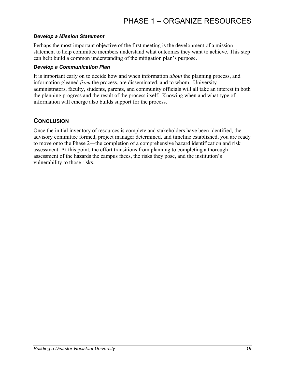### *Develop a Mission Statement*

Perhaps the most important objective of the first meeting is the development of a mission statement to help committee members understand what outcomes they want to achieve. This step can help build a common understanding of the mitigation plan's purpose.

### *Develop a Communication Plan*

It is important early on to decide how and when information *about* the planning process, and information gleaned *from* the process, are disseminated, and to whom. University administrators, faculty, students, parents, and community officials will all take an interest in both the planning progress and the result of the process itself. Knowing when and what type of information will emerge also builds support for the process.

### **CONCLUSION**

Once the initial inventory of resources is complete and stakeholders have been identified, the advisory committee formed, project manager determined, and timeline established, you are ready to move onto the Phase 2—the completion of a comprehensive hazard identification and risk assessment. At this point, the effort transitions from planning to completing a thorough assessment of the hazards the campus faces, the risks they pose, and the institution's vulnerability to those risks.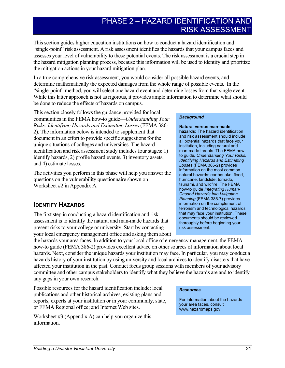# PHASE 2 – HAZARD IDENTIFICATION AND RISK ASSESSMENT

This section guides higher education institutions on how to conduct a hazard identification and "single-point" risk assessment. A risk assessment identifies the hazards that your campus faces and assesses your level of vulnerability to these potential events. The risk assessment is a crucial step in the hazard mitigation planning process, because this information will be used to identify and prioritize the mitigation actions in your hazard mitigation plan.

In a true comprehensive risk assessment, you would consider all possible hazard events, and determine mathematically the expected damages from the whole range of possible events. In the "single-point" method, you will select one hazard event and determine losses from that single event. While this latter approach is not as rigorous, it provides ample information to determine what should be done to reduce the effects of hazards on campus.

This section closely follows the guidance provided for local communities in the FEMA how-to guide—*Understanding Your Risks: Identifying Hazards and Estimating Losses* (FEMA 386- 2). The information below is intended to supplement that document in an effort to provide specific suggestions for the unique situations of colleges and universities. The hazard identification and risk assessment study includes four stages: 1) identify hazards, 2) profile hazard events, 3) inventory assets, and 4) estimate losses.

The activities you perform in this phase will help you answer the questions on the vulnerability questionnaire shown on Worksheet #2 in Appendix A.

### **IDENTIFY HAZARDS**

The first step in conducting a hazard identification and risk assessment is to identify the natural and man-made hazards that present risks to your college or university. Start by contacting your local emergency management office and asking them about

the hazards your area faces. In addition to your local office of emergency management, the FEMA how-to guide (FEMA 386-2) provides excellent advice on other sources of information about local hazards. Next, consider the unique hazards your institution may face. In particular, you may conduct a hazards history of your institution by using university and local archives to identify disasters that have affected your institution in the past. Conduct focus group sessions with members of your advisory committee and other campus stakeholders to identify what they believe the hazards are and to identify any gaps in your own research.

Possible resources for the hazard identification include: local publications and other historical archives; existing plans and reports; experts at your institution or in your community, state, or FEMA Regional office; and Internet Web sites.

Worksheet #3 (Appendix A) can help you organize this information.

#### *Background*

**Natural versus man-made hazards:** The hazard identification and risk assessment should include all potential hazards that face your institution, including natural and man-made threats. The FEMA howto guide*, Understanding Your Risks: Identifying Hazards and Estimating Losses* (FEMA 386-2) provides information on the most common natural hazards: earthquake, flood, hurricane, landslide, tornado, tsunami, and wildfire. The FEMA how-to guide *Integrating Human-Caused Hazards Into Mitigation Planning* (FEMA 386-7) provides information on the complement of terrorism and technological hazards that may face your institution. These documents should be reviewed thoroughly before beginning your risk assessment.

#### *Resources*

For information about the hazards your area faces, consult www.hazardmaps.gov.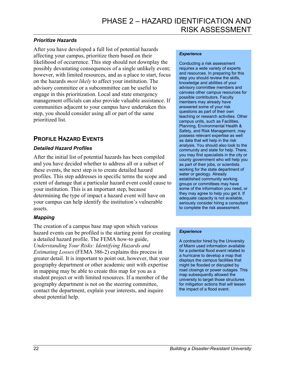### *Prioritize Hazards*

After you have developed a full list of potential hazards affecting your campus, prioritize them based on their likelihood of occurrence. This step should not downplay the possibly devastating consequences of a single unlikely event; however, with limited resources, and as a place to start, focus on the hazards *most likely* to affect your institution. The advisory committee or a subcommittee can be useful to engage in this prioritization. Local and state emergency management officials can also provide valuable assistance. If communities adjacent to your campus have undertaken this step, you should consider using all or part of the same prioritized list.

### **PROFILE HAZARD EVENTS**

### *Detailed Hazard Profiles*

After the initial list of potential hazards has been compiled and you have decided whether to address all or a subset of these events, the next step is to create detailed hazard profiles. This step addresses in specific terms the scope and extent of damage that a particular hazard event could cause to your institution. This is an important step, because determining the type of impact a hazard event will have on your campus can help identify the institution's vulnerable assets.

### *Mapping*

The creation of a campus base map upon which various hazard events can be profiled is the starting point for creating a detailed hazard profile. The FEMA how-to guide, *Understanding Your Risks: Identifying Hazards and Estimating Losses* (FEMA 386-2) explains this process in greater detail. It is important to point out, however, that your geography department or other academic unit with expertise in mapping may be able to create this map for you as a student project or with limited resources. If a member of the geography department is not on the steering committee, contact the department, explain your interests, and inquire about potential help.

#### *Experience*

Conducting a risk assessment requires a wide variety of experts and resources. In preparing for this step you should review the skills, knowledge and abilities of your advisory committee members and canvass other campus resources for possible contributors. Faculty members may already have answered some of your risk questions as part of their own teaching or research activities. Other campus units, such as Facilities, Planning, Environmental Health & Safety, and Risk Management, may possess relevant expertise as well as data that will help in the risk analysis. You should also look to the community and state for help. There, you may find specialists in the city or county government who will help you as part of their jobs, or scientists working for the state department of water or geology. Already established community working groups or committees may have some of the information you need, or they may agree to help you get it. If adequate capacity is not available, seriously consider hiring a consultant to complete the risk assessment.

### *Experience*

A contractor hired by the University of Miami used information available for a potential flood event related to a hurricane to develop a map that displays the campus facilities that might be flooded or disrupted by road closings or power outages. This map subsequently allowed the university to target those structures for mitigation actions that will lessen the impact of a flood event.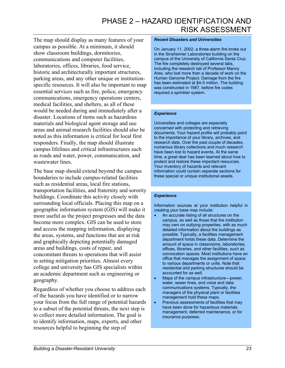The map should display as many features of your campus as possible. At a minimum, it should show classroom buildings, dormitories, communications and computer facilities, laboratories, offices, libraries, food service, historic and architecturally important structures, parking areas, and any other unique or institutionspecific resources. It will also be important to map essential services such as fire, police, emergency communications, emergency operations centers, medical facilities, and shelters, as all of these would be needed during and immediately after a disaster. Locations of items such as hazardous materials and biological agent storage and use areas and animal research facilities should also be noted as this information is critical for local first responders. Finally, the map should illustrate campus lifelines and critical infrastructures such as roads and water, power, communication, and wastewater lines.

The base map should extend beyond the campus boundaries to include campus-related facilities such as residential areas, local fire stations, transportation facilities, and fraternity and sorority buildings. Coordinate this activity closely with surrounding local officials. Placing this map on a geographic information system (GIS) will make it more useful as the project progresses and the data become more complex. GIS can be used to store and access the mapping information, displaying the areas, systems, and functions that are at risk and graphically depicting potentially damaged areas and buildings, costs of repair, and concomitant threats to operations that will assist in setting mitigation priorities. Almost every college and university has GIS specialists within an academic department such as engineering or geography.

Regardless of whether you choose to address each of the hazards you have identified or to narrow your focus from the full range of potential hazards to a subset of the potential threats, the next step is to collect more detailed information. The goal is to identify information, maps, experts, and other resources helpful to beginning the step of

#### *Recent Disasters and Universities*

On January 11, 2002, a three-alarm fire broke out in the Sinsheimer Laboratories building on the campus of the University of California Santa Cruz. The fire completely destroyed several labs, including the research lab of Professor Manny Ares, who lost more than a decade of work on the Human Genome Project. Damage from the fire has been estimated at \$4-5 million. The building was constructed in 1987, before fire codes required a sprinkler system.

#### *Experience*

Universities and colleges are especially concerned with protecting and retrieving documents. Your hazard profile will probably point to the importance of your library, archives, and research data. Over the past couple of decades, numerous library collections and much research have been lost to hazard events. At the same time, a great deal has been learned about how to protect and restore these important resources. Your inventory of hazards and relevant information could contain separate sections for these special or unique institutional assets.

#### *Experience*

Information sources at your institution helpful in creating your base map include:

- An accurate listing of all structures on the campus, as well as those that the institution may own on outlying properties, with as much detailed information about the buildings as possible. Typically, a facilities management department holds these data. Determine the amount of space in classrooms, laboratories, offices, libraries, and other facilities, such as convocation spaces. Most institutions have an office that manages the assignment of space to various departments or units. Note that residential and parking structures should be accounted for as well.
- Maps of the campus infrastructure—power, water, sewer lines, and voice and data communications systems. Typically, the managers of the physical plant or facilities management hold these maps.
- Previous assessments of facilities that may have been done for hazardous materials management, deferred maintenance, or for insurance purposes.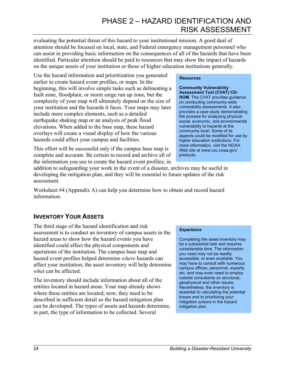evaluating the potential threat of this hazard to your institutional mission. A good deal of attention should be focused on local, state, and Federal emergency management personnel who can assist in providing basic information on the consequences of all of the hazards that have been identified. Particular attention should be paid to resources that may show the impact of hazards on the unique assets of your institution or those of higher education institutions generally.

Use the hazard information and prioritization you generated earlier to create hazard event profiles, or maps. In the beginning, this will involve simple tasks such as delineating a fault zone, floodplain, or storm surge run up zone, but the complexity of your map will ultimately depend on the size of your institution and the hazards it faces. Your maps may later include more complex elements, such as a detailed earthquake shaking map or an analysis of peak flood elevations. When added to the base map, these hazard overlays will create a visual display of how the various hazards could affect your campus and facilities.

This effort will be successful only if the campus base map is complete and accurate. Be certain to record and archive all of the information you use to create the hazard event profiles; in

#### *Resources*

**Community Vulnerability Assessment Tool (CVAT) CD-ROM.** The CVAT provides guidance on conducting community-wide vulnerability assessments. It also provides a case study demonstrating the process for analyzing physical, social, economic, and environmental vulnerability to hazards at the community level. Some of its aspects could be modified for use by higher education institutions. For more information, visit the NOAA Web site at www.csc.noaa.gov/ products.

addition to safeguarding your work in the event of a disaster, archives may be useful in developing the mitigation plan, and they will be essential to future updates of the risk assessment.

Worksheet #4 (Appendix A) can help you determine how to obtain and record hazard information.

### **INVENTORY YOUR ASSETS**

The third stage of the hazard identification and risk assessment is to conduct an inventory of campus assets in the hazard areas to show how the hazard events you have identified could affect the physical components and operations of the institution. The campus base map and hazard event profiles helped determine *where* hazards can affect your institution; the asset inventory will help determine *what* can be affected.

The inventory should include information about all of the entities located in hazard areas. Your map already shows where these entities are located; now, they need to be described in sufficient detail so the hazard mitigation plan can be developed. The types of assets and hazards determine, in part, the type of information to be collected. Several

#### *Experience*

Completing the asset inventory may be a substantial task and requires considerable time. The information you need may not be readily accessible, or even available. You may have to consult with numerous campus offices, personnel, experts, etc. and may even need to employ outside consultants on structural, geophysical and other issues. Nevertheless, the inventory is essential to calculating the potential losses and to prioritizing your mitigation actions in the hazard mitigation plan.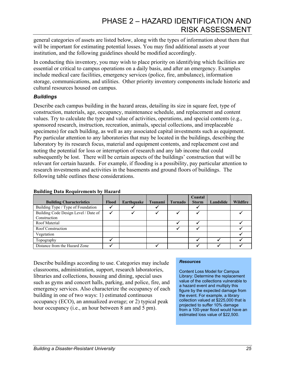general categories of assets are listed below, along with the types of information about them that will be important for estimating potential losses. You may find additional assets at your institution, and the following guidelines should be modified accordingly.

In conducting this inventory, you may wish to place priority on identifying which facilities are essential or critical to campus operations on a daily basis, and after an emergency. Examples include medical care facilities, emergency services (police, fire, ambulance), information storage, communications, and utilities. Other priority inventory components include historic and cultural resources housed on campus.

### *Buildings*

Describe each campus building in the hazard areas, detailing its size in square feet, type of construction, materials, age, occupancy, maintenance schedule, and replacement and content values. Try to calculate the type and value of activities, operations, and special contents (e.g., sponsored research, instruction, recreation, animals, special collections, and irreplaceable specimens) for each building, as well as any associated capital investments such as equipment. Pay particular attention to any laboratories that may be located in the buildings, describing the laboratory by its research focus, material and equipment contents, and replacement cost and noting the potential for loss or interruption of research and any lab income that could subsequently be lost. There will be certain aspects of the buildings' construction that will be relevant for certain hazards. For example, if flooding is a possibility, pay particular attention to research investments and activities in the basements and ground floors of buildings. The following table outlines these considerations.

|                                      |       |            |                |                | Coastal      |           |          |
|--------------------------------------|-------|------------|----------------|----------------|--------------|-----------|----------|
| <b>Building Characteristics</b>      | Flood | Earthquake | <b>Tsunami</b> | <b>Tornado</b> | <b>Storm</b> | Landslide | Wildfire |
| Building Type / Type of Foundation   |       |            |                |                |              |           |          |
| Building Code Design Level / Date of |       |            |                |                |              |           |          |
| Construction                         |       |            |                |                |              |           |          |
| Roof Material                        |       |            |                |                |              |           |          |
| Roof Construction                    |       |            |                |                |              |           |          |
| Vegetation                           |       |            |                |                |              |           |          |
| Topography                           |       |            |                |                |              |           |          |
| Distance from the Hazard Zone        |       |            |                |                |              |           |          |

### **Building Data Requirements by Hazard**

Describe buildings according to use. Categories may include classrooms, administration, support, research laboratories, libraries and collections, housing and dining, special uses such as gyms and concert halls, parking, and police, fire, and emergency services. Also characterize the occupancy of each building in one of two ways: 1) estimated continuous occupancy (ECO), an annualized average; or 2) typical peak hour occupancy (i.e., an hour between 8 am and 5 pm).

### *Resources*

Content Loss Model for Campus Library: Determine the replacement value of the collections vulnerable to a hazard event and multiply this figure by the expected damage from the event. For example, a library collection valued at \$225,000 that is projected to suffer 10% damage from a 100-year flood would have an estimated loss value of \$22,500.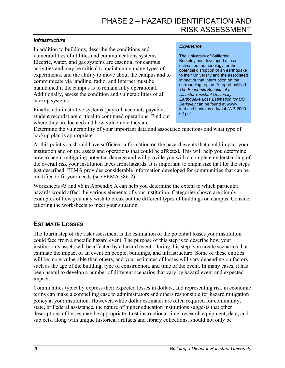### *Infrastructure*

In addition to buildings, describe the conditions and vulnerabilities of utilities and communications systems. Electric, water, and gas systems are essential for campus activities and may be critical to maintaining many types of experiments, and the ability to move about the campus and to communicate via landline, radio, and Internet must be maintained if the campus is to remain fully operational. Additionally, assess the condition and vulnerabilities of all backup systems.

Finally, administrative systems (payroll, accounts payable, student records) are critical to continued operations. Find out where they are located and how vulnerable they are.

#### *Experience*

The University of California, Berkeley has developed a loss estimation methodology for the potential disruption of an earthquake to their University and the associated impact of that interruption on the surrounding region. A report entitled: *The Economic Benefits of a Disaster-resistant University: Earthquake Loss Estimation for UC Berkeley* can be found at wwwiurd.ced.berkeley.edu/pub/WP-2000- 02.pdf

Determine the vulnerability of your important data and associated functions and what type of backup plan is appropriate.

At this point you should have sufficient information on the hazard events that could impact your institution and on the assets and operations that could be affected. This will help you determine how to begin mitigating potential damage and will provide you with a complete understanding of the overall risk your institution faces from hazards. It is important to emphasize that for the steps just described, FEMA provides considerable information developed for communities that can be modified to fit your needs (see FEMA 386-2).

Worksheets #5 and #6 in Appendix A can help you determine the extent to which particular hazards would affect the various elements of your institution. Categories shown are simply examples of how you may wish to break out the different types of buildings on campus. Consider tailoring the worksheets to meet your situation.

### **ESTIMATE LOSSES**

The fourth step of the risk assessment is the estimation of the potential losses your institution could face from a specific hazard event. The purpose of this step is to describe how your institution's assets will be affected by a hazard event. During this step, you create scenarios that estimate the impact of an event on people, buildings, and infrastructure. Some of these entities will be more vulnerable than others, and your estimates of losses will vary depending on factors such as the age of the building, type of construction, and time of the event. In many cases, it has been useful to develop a number of different scenarios that vary by hazard event and expected impact.

Communities typically express their expected losses in dollars, and representing risk in economic terms can make a compelling case to administrators and others responsible for hazard mitigation policy at your institution. However, while dollar estimates are often required for community, state, or Federal assistance, the nature of higher education institutions suggests that other descriptions of losses may be appropriate. Lost instructional time, research equipment, data, and subjects, along with unique historical artifacts and library collections, should not only be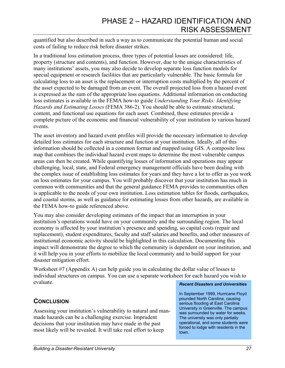quantified but also described in such a way as to communicate the potential human and social costs of failing to reduce risk before disaster strikes.

In a traditional loss estimation process, three types of potential losses are considered: life, property (structure and contents), and function. However, due to the unique characteristics of many institutions' assets, you may also decide to develop separate loss function models for special equipment or research facilities that are particularly vulnerable. The basic formula for calculating loss to an asset is the replacement or interruption costs multiplied by the percent of the asset expected to be damaged from an event. The overall projected loss from a hazard event is expressed as the sum of the appropriate loss equations. Additional information on conducting loss estimates is available in the FEMA how-to guide *Understanding Your Risks: Identifying Hazards and Estimating Losses* (FEMA 386-2). You should be able to estimate structural, content, and functional use equations for each asset. Combined, these estimates provide a complete picture of the economic and financial vulnerability of your institution to various hazard events.

The asset inventory and hazard event profiles will provide the necessary information to develop detailed loss estimates for each structure and function at your institution. Ideally, all of this information should be collected in a common format and mapped using GIS. A composite loss map that combines the individual hazard event maps to determine the most vulnerable campus areas can then be created. While quantifying losses of information and operations may appear challenging, local, state, and Federal emergency management officials have been dealing with the complex issue of establishing loss estimates for years and they have a lot to offer as you work on loss estimates for your campus. You will probably discover that your institution has much in common with communities and that the general guidance FEMA provides to communities often is applicable to the needs of your own institution. Loss estimation tables for floods, earthquakes, and coastal storms, as well as guidance for estimating losses from other hazards, are available in the FEMA how-to guide referenced above.

You may also consider developing estimates of the impact that an interruption in your institution's operations would have on your community and the surrounding region. The local economy is affected by your institution's presence and spending, so capital costs (repair and replacement), student expenditures, faculty and staff salaries and benefits, and other measures of institutional economic activity should be highlighted in this calculation. Documenting this impact will demonstrate the degree to which the community is dependent on your institution, and it will help you in your efforts to mobilize the local community and to build support for your disaster mitigation effort.

Worksheet #7 (Appendix A) can help guide you in calculating the dollar value of losses to individual structures on campus. You can use a separate worksheet for each hazard you wish to evaluate.

### **CONCLUSION**

Assessing your institution's vulnerability to natural and manmade hazards can be a challenging exercise. Imprudent decisions that your institution may have made in the past most likely will be revealed. It will take real effort to keep

#### *Recent Disasters and Universities*

In September 1999, Hurricane Floyd pounded North Carolina, causing serious flooding at East Carolina University in Greenville. The campus was surrounded by water for weeks. The university was only partially operational, and some students were forced to lodge with residents in the town.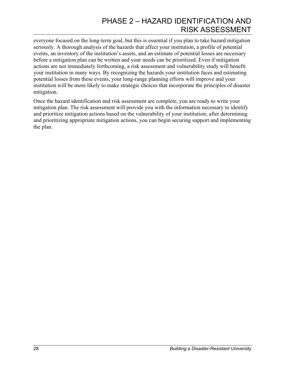everyone focused on the long-term goal, but this is essential if you plan to take hazard mitigation seriously. A thorough analysis of the hazards that affect your institution, a profile of potential events, an inventory of the institution's assets, and an estimate of potential losses are necessary before a mitigation plan can be written and your needs can be prioritized. Even if mitigation actions are not immediately forthcoming, a risk assessment and vulnerability study will benefit your institution in many ways. By recognizing the hazards your institution faces and estimating potential losses from these events, your long-range planning efforts will improve and your institution will be more likely to make strategic choices that incorporate the principles of disaster mitigation.

Once the hazard identification and risk assessment are complete, you are ready to write your mitigation plan. The risk assessment will provide you with the information necessary to identify and prioritize mitigation actions based on the vulnerability of your institution; after determining and prioritizing appropriate mitigation actions, you can begin securing support and implementing the plan.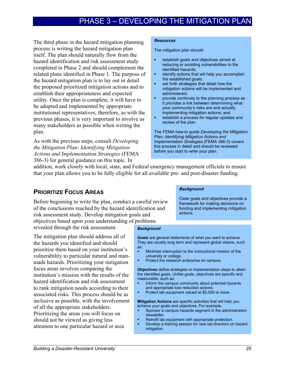# PHASE 3 – DEVELOPING THE MITIGATION PLAN

The third phase in the hazard mitigation planning process is writing the hazard mitigation plan itself. The plan should naturally flow from the hazard identification and risk assessment study completed in Phase 2 and should complement the related plans identified in Phase 1. The purpose of the hazard mitigation plan is to lay out in detail the proposed prioritized mitigation actions and to establish their appropriateness and expected utility. Once the plan is complete, it will have to be adopted and implemented by appropriate institutional representatives; therefore, as with the previous phases, it is very important to involve as many stakeholders as possible when writing the plan.

As with the previous steps, consult *Developing the Mitigation Plan: Identifying Mitigation Actions and Implementation Strategies* (FEMA 386-3) for general guidance on this topic. In

#### *Resources*

The mitigation plan should:

- establish goals and objectives aimed at reducing or avoiding vulnerabilities to the identified hazards;
- **•** identify actions that will help you accomplish the established goals;
- set forth strategies that detail how the mitigation actions will be implemented and administered;
- provide continuity to the planning process as it provides a link between determining what your community's risks are and actually implementing mitigation actions; and
- **EXECUTE:** establish a process for regular updates and review of the plan.

The FEMA how-to guide *Developing the Mitigation Plan: Identifying Mitigation Actions and Implementation Strategies* (FEMA 386-3) covers this process in detail and should be reviewed before you start to write your plan.

addition, work closely with local, state, and Federal emergency management officials to ensure that your plan allows you to be fully eligible for all available pre- and post-disaster funding.

### **PRIORITIZE FOCUS AREAS**

Before beginning to write the plan, conduct a careful review of the conclusions reached by the hazard identification and risk assessment study. Develop mitigation goals and objectives based upon your understanding of problems

revealed through the risk assessment.

The mitigation plan should address all of the hazards you identified and should prioritize them based on your institution's vulnerability to particular natural and manmade hazards. Prioritizing your mitigation focus areas involves comparing the institution's mission with the results of the hazard identification and risk assessment to rank mitigation needs according to their associated risks. This process should be as inclusive as possible, with the involvement of all the appropriate stakeholders. Prioritizing the areas you will focus on should not be viewed as giving less attention to one particular hazard or area

#### *Background*

Clear goals and objectives provide a framework for making decisions on funding and implementing mitigation actions.

#### *Background*

**Goals** are general statements of what you want to achieve. They are usually long term and represent global visions, such as:

- **Minimize interruption to the instructional mission of the** university or college.
- Protect the research enterprise on campus.

**Objectives** define strategies or implementation steps to attain the identified goals. Unlike goals, objectives are specific and measurable, such as:

- Inform the campus community about potential hazards and appropriate loss reduction actions.
- **Protect lab equipment valued at \$5,000 or more.**

**Mitigation Actions** are specific activities that will help you achieve your goals and objectives. For example:

- Sponsor a campus hazards segment in the administration newsletter.
- **Retrofit lab equipment with appropriate protection.**<br>**•** Develop a training session for new lab directors on
- Develop a training session for new lab directors on hazard mitigation.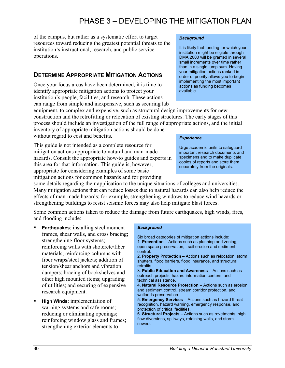of the campus, but rather as a systematic effort to target resources toward reducing the greatest potential threats to the institution's instructional, research, and public service operations.

### **DETERMINE APPROPRIATE MITIGATION ACTIONS**

Once your focus areas have been determined, it is time to identify appropriate mitigation actions to protect your institution's people, facilities, and research. These actions can range from simple and inexpensive, such as securing lab

equipment, to complex and expensive, such as structural design improvements for new construction and the retrofitting or relocation of existing structures. The early stages of this process should include an investigation of the full range of appropriate actions, and the initial

inventory of appropriate mitigation actions should be done without regard to cost and benefits.

This guide is not intended as a complete resource for mitigation actions appropriate to natural and man-made hazards. Consult the appropriate how-to guides and experts in this area for that information. This guide is, however, appropriate for considering examples of some basic mitigation actions for common hazards and for providing

some details regarding their application to the unique situations of colleges and universities. Many mitigation actions that can reduce losses due to natural hazards can also help reduce the effects of man-made hazards; for example, strengthening windows to reduce wind hazards or strengthening buildings to resist seismic forces may also help mitigate blast forces.

Some common actions taken to reduce the damage from future earthquakes, high winds, fires, and flooding include:

- **Earthquakes**: installing steel moment frames, shear walls, and cross bracing; strengthening floor systems; reinforcing walls with shotcrete/fiber materials; reinforcing columns with fiber wraps/steel jackets; addition of tension/shear anchors and vibration dampers; bracing of bookshelves and other high mounted items; upgrading of utilities; and securing of expensive research equipment.
- **High Winds:** implementation of warning systems and safe rooms; reducing or eliminating openings; reinforcing window glass and frames; strengthening exterior elements to

#### *Background*

It is likely that funding for which your institution might be eligible through DMA 2000 will be granted in several small increments over time rather than in a single lump sum. Having your mitigation actions ranked in order of priority allows you to begin implementing the most important actions as funding becomes available.

#### *Experience*

Urge academic units to safeguard important research documents and specimens and to make duplicate copies of reports and store them separately from the originals.

#### *Background*

Six broad categories of mitigation actions include: 1. **Prevention** – Actions such as planning and zoning, open space preservation, , soil erosion and sediment control.

2. **Property Protection** – Actions such as relocation, storm shutters, flood barriers, flood insurance, and structural retrofits.

3. **Public Education and Awareness** – Actions such as outreach projects, hazard information centers, and technical assistance.

4. **Natural Resource Protection** – Actions such as erosion and sediment control, stream corridor protection, and wetlands preservation.

5. **Emergency Services** – Actions such as hazard threat recognition, hazard warning, emergency response, and protection of critical facilities.

6. **Structural Projects** – Actions such as revetments, high flow diversions, spillways, retaining walls, and storm sewers.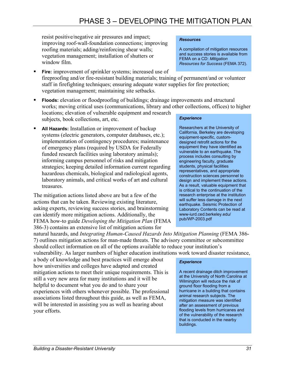resist positive/negative air pressures and impact; improving roof-wall-foundation connections; improving roofing materials; adding/reinforcing shear walls; vegetation management; installation of shutters or window film.

- **Fire:** improvement of sprinkler systems; increased use of fireproofing and/or fire-resistant building materials; training of permanent/and or volunteer staff in firefighting techniques; ensuring adequate water supplies for fire protection; vegetation management; maintaining site setbacks.
- **Floods:** elevation or floodproofing of buildings; drainage improvements and structural works; moving critical uses (communications, library and other collections, offices) to higher locations; elevation of vulnerable equipment and research subjects, book collections, art, etc.
- **All Hazards:** Installation or improvement of backup systems (electric generators, computer databases, etc.); implementation of contingency procedures; maintenance of emergency plans (required by USDA for Federally funded research facilities using laboratory animals); informing campus personnel of risks and mitigation strategies; keeping detailed information current regarding hazardous chemicals, biological and radiological agents, laboratory animals, and critical works of art and cultural treasures.

The mitigation actions listed above are but a few of the actions that can be taken. Reviewing existing literature, asking experts, reviewing success stories, and brainstorming can identify more mitigation actions. Additionally, the FEMA how-to guide *Developing the Mitigation Plan* (FEMA 386-3) contains an extensive list of mitigation actions for

#### *Experience*

*Resources* 

Researchers at the University of California, Berkeley are developing equipment-specific, customdesigned retrofit actions for the equipment they have identified as vulnerable to an earthquake. The process includes consulting by engineering faculty, graduate students, physical facilities representatives, and appropriate construction sciences personnel to design and implement these actions. As a result, valuable equipment that is critical to the continuation of the research enterprise at the institution will suffer less damage in the next earthquake. Seismic Protection of Laboratory Contents can be read at www-iurd.ced.berkeley.edu/ pub/WP-2003.pdf

A compilation of mitigation resources and success stories is available from

*Resources for Success* (FEMA 372).

FEMA on a CD: *Mitigation* 

natural hazards, and *Integrating Human-Caused Hazards Into Mitigation Planning* (FEMA 386- 7) outlines mitigation actions for man-made threats. The advisory committee or subcommittee should collect information on all of the options available to reduce your institution's vulnerability. As larger numbers of higher education institutions work toward disaster resistance,

a body of knowledge and best practices will emerge about how universities and colleges have adapted and created mitigation actions to meet their unique requirements. This is still a very new area for many institutions and it will be helpful to document what you do and to share your experiences with others whenever possible. The professional associations listed throughout this guide, as well as FEMA, will be interested in assisting you as well as hearing about your efforts.

#### *Experience*

A recent drainage ditch improvement at the University of North Carolina at Wilmington will reduce the risk of ground floor flooding from a hurricane in a building that contains animal research subjects. The mitigation measure was identified after an assessment of previous flooding levels from hurricanes and of the vulnerability of the research that is conducted in the nearby buildings.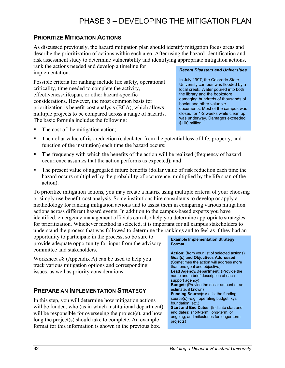### **PRIORITIZE MITIGATION ACTIONS**

As discussed previously, the hazard mitigation plan should identify mitigation focus areas and describe the prioritization of actions within each area. After using the hazard identification and risk assessment study to determine vulnerability and identifying appropriate mitigation actions, rank the actions needed and develop a timeline for implementation.

Possible criteria for ranking include life safety, operational criticality, time needed to complete the activity, effectiveness/lifespan, or other hazard-specific considerations. However, the most common basis for prioritization is benefit-cost analysis (BCA), which allows multiple projects to be compared across a range of hazards. The basic formula includes the following:

#### *Recent Disasters and Universities*

In July 1997, the Colorado State University campus was flooded by a local creek. Water poured into both the library and the bookstore, damaging hundreds of thousands of books and other valuable documents. Most of the campus was closed for 1-2 weeks while clean up was underway. Damages exceeded \$100 million.

- The cost of the mitigation action;
- The dollar value of risk reduction (calculated from the potential loss of life, property, and function of the institution) each time the hazard occurs;
- The frequency with which the benefits of the action will be realized (frequency of hazard occurrence assumes that the action performs as expected); and
- The present value of aggregated future benefits (dollar value of risk reduction each time the hazard occurs multiplied by the probability of occurrence, multiplied by the life span of the action).

To prioritize mitigation actions, you may create a matrix using multiple criteria of your choosing or simply use benefit-cost analysis. Some institutions hire consultants to develop or apply a methodology for ranking mitigation actions and to assist them in comparing various mitigation actions across different hazard events. In addition to the campus-based experts you have identified, emergency management officials can also help you determine appropriate strategies for prioritization. Whichever method is selected, it is important for all campus stakeholders to understand the process that was followed to determine the rankings and to feel as if they had an

opportunity to participate in the process, so be sure to provide adequate opportunity for input from the advisory committee and stakeholders.

Worksheet #8 (Appendix A) can be used to help you track various mitigation options and corresponding issues, as well as priority considerations.

### **PREPARE AN IMPLEMENTATION STRATEGY**

In this step, you will determine how mitigation actions will be funded, who (as in which institutional department) will be responsible for overseeing the project(s), and how long the project(s) should take to complete. An example format for this information is shown in the previous box.

#### **Example Implementation Strategy Format**

**Action:** (from your list of selected actions) **Goal(s) and Objectives Addressed:**  (Sometimes the action will address more than one goal and objective) **Lead Agency/Department:** (Provide the name and a brief description of each support agency) **Budget:** (Provide the dollar amount or an estimate, if known) **Funding Source(s):** (List the funding source(s)--e.g., operating budget, xyz foundation, etc.) **Start and End Dates:** (Indicate start and end dates; short-term, long-term, or ongoing; and milestones for longer term projects)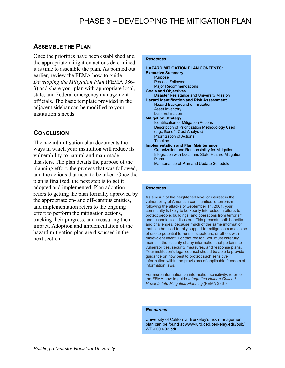### **ASSEMBLE THE PLAN**

Once the priorities have been established and the appropriate mitigation actions determined, it is time to assemble the plan. As pointed out earlier, review the FEMA how-to guide *Developing the Mitigation Plan* (FEMA 386- 3) and share your plan with appropriate local, state, and Federal emergency management officials. The basic template provided in the adjacent sidebar can be modified to your institution's needs.

### **CONCLUSION**

The hazard mitigation plan documents the ways in which your institution will reduce its vulnerability to natural and man-made disasters. The plan details the purpose of the planning effort, the process that was followed, and the actions that need to be taken. Once the plan is finalized, the next step is to get it adopted and implemented. Plan adoption refers to getting the plan formally approved by the appropriate on- and off-campus entities, and implementation refers to the ongoing effort to perform the mitigation actions, tracking their progress, and measuring their impact. Adoption and implementation of the hazard mitigation plan are discussed in the next section.

#### *Resources*

| <b>HAZARD MITIGATION PLAN CONTENTS:</b>            |
|----------------------------------------------------|
| <b>Executive Summary</b>                           |
| Purpose                                            |
| <b>Process Followed</b>                            |
| <b>Major Recommendations</b>                       |
| <b>Goals and Objectives</b>                        |
| <b>Disaster Resistance and University Mission</b>  |
| <b>Hazard Identification and Risk Assessment</b>   |
| Hazard Background of Institution                   |
| <b>Asset Inventory</b>                             |
| <b>Loss Estimation</b>                             |
| <b>Mitigation Strategy</b>                         |
| Identification of Mitigation Actions               |
| Description of Prioritization Methodology Used     |
| (e.g., Benefit-Cost Analysis)                      |
| <b>Prioritization of Actions</b>                   |
| Timeline                                           |
| <b>Implementation and Plan Maintenance</b>         |
| Organization and Responsibility for Mitigation     |
| Integration with Local and State Hazard Mitigation |
| Plans                                              |
| Maintenance of Plan and Update Schedule            |

#### *Resources*

As a result of the heightened level of interest in the vulnerability of American communities to terrorism following the attacks of September 11, 2001, your community is likely to be keenly interested in efforts to protect people, buildings, and operations from terrorism and technological disasters. This presents both benefits and challenges, because much of the same information that can be used to rally support for mitigation can also be of use to potential terrorists, saboteurs, or others with malevolent intent. For that reason, you must carefully maintain the security of any information that pertains to vulnerabilities, security measures, and response plans. Your institution's legal counsel should be able to provide guidance on how best to protect such sensitive information within the provisions of applicable freedom of information laws.

For more information on information sensitivity, refer to the FEMA how-to guide *Integrating Human-Caused Hazards Into Mitigation Planning* (FEMA 386-7).

#### *Resources*

University of California, Berkeley's risk management plan can be found at www-iurd.ced.berkeley.edu/pub/ WP-2000-03.pdf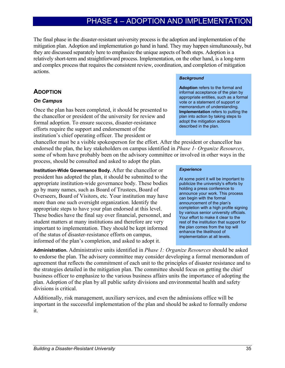# PHASE 4 – ADOPTION AND IMPLEMENTATION

The final phase in the disaster-resistant university process is the adoption and implementation of the mitigation plan. Adoption and implementation go hand in hand. They may happen simultaneously, but they are discussed separately here to emphasize the unique aspects of both steps. Adoption is a relatively short-term and straightforward process. Implementation, on the other hand, is a long-term and complex process that requires the consistent review, coordination, and completion of mitigation actions.

### **ADOPTION**

### *On Campus*

Once the plan has been completed, it should be presented to the chancellor or president of the university for review and formal adoption. To ensure success, disaster-resistance efforts require the support and endorsement of the institution's chief operating officer. The president or

chancellor must be a visible spokesperson for the effort. After the president or chancellor has endorsed the plan, the key stakeholders on campus identified in *Phase 1- Organize Resources*, some of whom have probably been on the advisory committee or involved in other ways in the process, should be consulted and asked to adopt the plan.

**Institution-Wide Governance Body.** After the chancellor or president has adopted the plan, it should be submitted to the appropriate institution-wide governance body. These bodies go by many names, such as Board of Trustees, Board of Overseers, Board of Visitors, etc. Your institution may have more than one such oversight organization. Identify the appropriate steps to have your plan endorsed at this level. These bodies have the final say over financial, personnel, and student matters at many institutions and therefore are very important to implementation. They should be kept informed of the status of disaster-resistance efforts on campus, informed of the plan's completion, and asked to adopt it.

#### *Background*

**Adoption** refers to the formal and informal acceptance of the plan by appropriate entities, such as a formal vote or a statement of support or memorandum of understanding. **Implementation** refers to putting the plan into action by taking steps to adopt the mitigation actions described in the plan.

#### *Experience*

At some point it will be important to publicize the university's efforts by holding a press conference to announce your work. This process can begin with the formal announcement of the plan's completion with a high profile signing by various senior university officials. Your effort to make it clear to the rest of the institution that support for the plan comes from the top will enhance the likelihood of implementation at all levels.

**Administration.** Administrative units identified in *Phase 1: Organize Resources* should be asked to endorse the plan. The advisory committee may consider developing a formal memorandum of agreement that reflects the commitment of each unit to the principles of disaster resistance and to the strategies detailed in the mitigation plan. The committee should focus on getting the chief business officer to emphasize to the various business affairs units the importance of adopting the plan. Adoption of the plan by all public safety divisions and environmental health and safety divisions is critical.

Additionally, risk management, auxiliary services, and even the admissions office will be important in the successful implementation of the plan and should be asked to formally endorse it.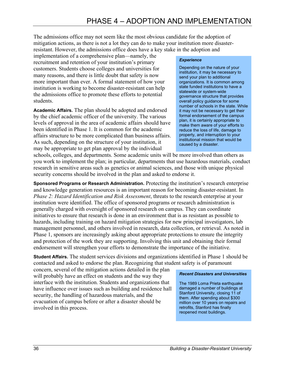The admissions office may not seem like the most obvious candidate for the adoption of mitigation actions, as there is not a lot they can do to make your institution more disasterresistant. However, the admissions office does have a key stake in the adoption and

implementation of a comprehensive plan—namely, the recruitment and retention of your institution's primary customers. Students choose colleges and universities for many reasons, and there is little doubt that safety is now more important than ever. A formal statement of how your institution is working to become disaster-resistant can help the admissions office to promote these efforts to potential students.

**Academic Affairs.** The plan should be adopted and endorsed by the chief academic officer of the university. The various levels of approval in the area of academic affairs should have been identified in Phase 1. It is common for the academic affairs structure to be more complicated than business affairs. As such, depending on the structure of your institution, it may be appropriate to get plan approval by the individual

#### *Experience*

Depending on the nature of your institution, it may be necessary to send your plan to additional organizations. It is common among state funded institutions to have a statewide or system-wide governance structure that provides overall policy guidance for some number of schools in the state. While it may not be necessary to get their formal endorsement of the campus plan, it is certainly appropriate to make them aware of your efforts to reduce the loss of life, damage to property, and interruption to your institutional mission that would be caused by a disaster.

schools, colleges, and departments. Some academic units will be more involved than others as you work to implement the plan; in particular, departments that use hazardous materials, conduct research in sensitive areas such as genetics or animal sciences, and those with unique physical security concerns should be involved in the plan and asked to endorse it.

**Sponsored Programs or Research Administration.** Protecting the institution's research enterprise and knowledge generation resources is an important reason for becoming disaster-resistant. In *Phase 2: Hazard Identification and Risk Assessment*, threats to the research enterprise at your institution were identified. The office of sponsored programs or research administration is generally charged with oversight of sponsored research on campus. They can coordinate initiatives to ensure that research is done in an environment that is as resistant as possible to hazards, including training on hazard mitigation strategies for new principal investigators, lab management personnel, and others involved in research, data collection, or retrieval. As noted in Phase 1, sponsors are increasingly asking about appropriate protections to ensure the integrity and protection of the work they are supporting. Involving this unit and obtaining their formal endorsement will strengthen your efforts to demonstrate the importance of the initiative.

**Student Affairs.** The student services divisions and organizations identified in Phase 1 should be contacted and asked to endorse the plan. Recognizing that student safety is of paramount

concern, several of the mitigation actions detailed in the plan will probably have an effect on students and the way they interface with the institution. Students and organizations that have influence over issues such as building and residence hall security, the handling of hazardous materials, and the evacuation of campus before or after a disaster should be involved in this process.

#### *Recent Disasters and Universities*

The 1989 Loma Prieta earthquake damaged a number of buildings at Stanford University, closing 11 of them. After spending about \$300 million over 10 years on repairs and retrofits, Stanford has finally reopened most buildings.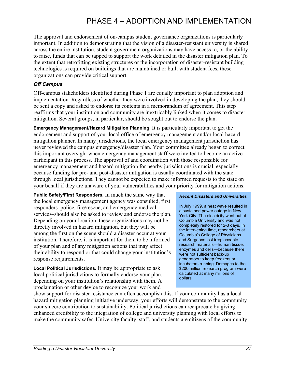The approval and endorsement of on-campus student governance organizations is particularly important. In addition to demonstrating that the vision of a disaster-resistant university is shared across the entire institution, student government organizations may have access to, or the ability to raise, funds that can be tapped to support the work detailed in the disaster mitigation plan. To the extent that retrofitting existing structures or the incorporation of disaster-resistant building technologies is required on buildings that are maintained or built with student fees, these organizations can provide critical support.

### *Off Campus*

Off-campus stakeholders identified during Phase 1 are equally important to plan adoption and implementation. Regardless of whether they were involved in developing the plan, they should be sent a copy and asked to endorse its contents in a memorandum of agreement. This step reaffirms that your institution and community are inextricably linked when it comes to disaster mitigation. Several groups, in particular, should be sought out to endorse the plan.

**Emergency Management/Hazard Mitigation Planning.** It is particularly important to get the endorsement and support of your local office of emergency management and/or local hazard mitigation planner. In many jurisdictions, the local emergency management jurisdiction has never reviewed the campus emergency/disaster plan. Your committee already began to correct this important oversight when emergency management staff were invited to become an active participant in this process. The approval of and coordination with those responsible for emergency management and hazard mitigation for nearby jurisdictions is crucial, especially because funding for pre- and post-disaster mitigation is usually coordinated with the state through local jurisdictions. They cannot be expected to make informed requests to the state on your behalf if they are unaware of your vulnerabilities and your priority for mitigation actions.

**Public Safety/First Responders.** In much the same way that the local emergency management agency was consulted, first responders–police, fire/rescue, and emergency medical services–should also be asked to review and endorse the plan. Depending on your location, these organizations may not be directly involved in hazard mitigation, but they will be among the first on the scene should a disaster occur at your institution. Therefore, it is important for them to be informed of your plan and of any mitigation actions that may affect their ability to respond or that could change your institution's response requirements.

**Local Political Jurisdictions.** It may be appropriate to ask local political jurisdictions to formally endorse your plan, depending on your institution's relationship with them. A proclamation or other device to recognize your work and

#### *Recent Disasters and Universities*

In July 1999, a heat wave resulted in a sustained power outage in New York City. The electricity went out at Columbia University and was not completely restored for 2-3 days. In the intervening time, researchers at Columbia's College of Physicians and Surgeons lost irreplaceable research materials—human tissue, enzymes and cells—because there were not sufficient back-up generators to keep freezers or incubators running. Damages to the \$200 million research program were calculated at many millions of dollars.

show support for disaster resistance can often accomplish this. If your community has a local hazard mitigation planning initiative underway, your efforts will demonstrate to the community your sincere contribution to sustainability. Political jurisdictions can reciprocate by giving enhanced credibility to the integration of college and university planning with local efforts to make the community safer. University faculty, staff, and students are citizens of the community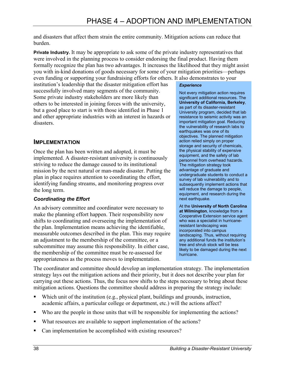and disasters that affect them strain the entire community. Mitigation actions can reduce that burden.

**Private Industry.** It may be appropriate to ask some of the private industry representatives that were involved in the planning process to consider endorsing the final product. Having them formally recognize the plan has two advantages. It increases the likelihood that they might assist you with in-kind donations of goods necessary for some of your mitigation priorities—perhaps even funding or supporting your fundraising efforts for others. It also demonstrates to your

institution's leadership that the disaster mitigation effort has successfully involved many segments of the community. Some private industry stakeholders are more likely than others to be interested in joining forces with the university, but a good place to start is with those identified in Phase 1 and other appropriate industries with an interest in hazards or disasters.

### **IMPLEMENTATION**

Once the plan has been written and adopted, it must be implemented. A disaster-resistant university is continuously striving to reduce the damage caused to its institutional mission by the next natural or man-made disaster. Putting the plan in place requires attention to coordinating the effort, identifying funding streams, and monitoring progress over the long term.

### *Coordinating the Effort*

An advisory committee and coordinator were necessary to make the planning effort happen. Their responsibility now shifts to coordinating and overseeing the implementation of the plan. Implementation means achieving the identifiable, measurable outcomes described in the plan. This may require an adjustment to the membership of the committee, or a subcommittee may assume this responsibility. In either case, the membership of the committee must be re-assessed for appropriateness as the process moves to implementation.

#### *Experience*

Not every mitigation action requires significant additional resources. The **University of California, Berkeley**, as part of its disaster-resistant University program, decided that lab resistance to seismic activity was an important mitigation goal. Reducing the vulnerability of research labs to earthquakes was one of its objectives. The planned mitigation action relied simply on proper storage and security of chemicals, the physical stability of expensive equipment, and the safety of lab personnel from overhead hazards. The mitigation strategy took advantage of graduate and undergraduate students to conduct a survey of lab vulnerability and to subsequently implement actions that will reduce the damage to people, equipment, and research during the next earthquake.

At the **University of North Carolina at Wilmington**, knowledge from a Cooperative Extension service agent who was a specialist in hurricaneresistant landscaping was incorporated into campus landscaping. Thus, without requiring any additional funds the institution's tree and shrub stock will be less likely to be damaged during the next hurricane.

The coordinator and committee should develop an implementation strategy. The implementation strategy lays out the mitigation actions and their priority, but it does not describe your plan for carrying out these actions. Thus, the focus now shifts to the steps necessary to bring about these mitigation actions. Questions the committee should address in preparing the strategy include:

- Which unit of the institution (e.g., physical plant, buildings and grounds, instruction, academic affairs, a particular college or department, etc.) will the actions affect?
- Who are the people in those units that will be responsible for implementing the actions?
- What resources are available to support implementation of the actions?
- Can implementation be accomplished with existing resources?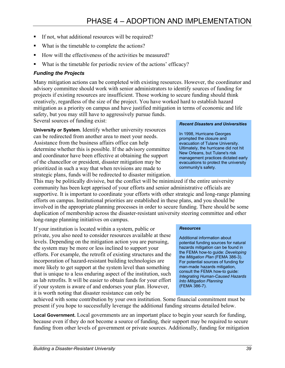- If not, what additional resources will be required?
- What is the timetable to complete the actions?
- How will the effectiveness of the activities be measured?
- What is the timetable for periodic review of the actions' efficacy?

### *Funding the Projects*

Many mitigation actions can be completed with existing resources. However, the coordinator and advisory committee should work with senior administrators to identify sources of funding for projects if existing resources are insufficient. Those working to secure funding should think creatively, regardless of the size of the project. You have worked hard to establish hazard mitigation as a priority on campus and have justified mitigation in terms of economic and life safety, but you may still have to aggressively pursue funds.

Several sources of funding exist:

**University or System.** Identify whether university resources can be redirected from another area to meet your needs. Assistance from the business affairs office can help determine whether this is possible. If the advisory committee and coordinator have been effective at obtaining the support of the chancellor or president, disaster mitigation may be prioritized in such a way that when revisions are made to strategic plans, funds will be redirected to disaster mitigation.

This may be politically divisive, but the conflict will be minimized if the entire university community has been kept apprised of your efforts and senior administrative officials are supportive. It is important to coordinate your efforts with other strategic and long-range planning efforts on campus. Institutional priorities are established in these plans, and you should be involved in the appropriate planning processes in order to secure funding. There should be some duplication of membership across the disaster-resistant university steering committee and other long-range planning initiatives on campus.

If your institution is located within a system, public or private, you also need to consider resources available at these levels. Depending on the mitigation action you are pursuing, the system may be more or less inclined to support your efforts. For example, the retrofit of existing structures and the incorporation of hazard-resistant building technologies are more likely to get support at the system level than something that is unique to a less enduring aspect of the institution, such as lab retrofits. It will be easier to obtain funds for your effort if your system is aware of and endorses your plan. However, it is worth noting that disaster resistance can only be

achieved with some contribution by your own institution. Some financial commitment must be present if you hope to successfully leverage the additional funding streams detailed below.

**Local Government.** Local governments are an important place to begin your search for funding, because even if they do not become a source of funding, their support may be required to secure funding from other levels of government or private sources. Additionally, funding for mitigation

### *Recent Disasters and Universities*

In 1998, Hurricane Georges prompted the closure and evacuation of Tulane University. Ultimately, the hurricane did not hit New Orleans, but Tulane's risk management practices dictated early evacuations to protect the university community's safety.

#### *Resources*

Additional information about potential funding sources for natural hazards mitigation can be found in the FEMA how-to guide: *Developing the Mitigation Plan* (FEMA 386-3). For potential sources of funding for man-made hazards mitigation, consult the FEMA how-to guide: *Integrating Human-Caused Hazards Into Mitigation Planning* (FEMA 386-7).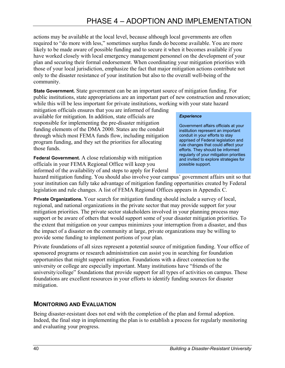actions may be available at the local level, because although local governments are often required to "do more with less," sometimes surplus funds do become available. You are more likely to be made aware of possible funding and to secure it when it becomes available if you have worked closely with local emergency management personnel on the development of your plan and securing their formal endorsement. When coordinating your mitigation priorities with those of your local jurisdiction, emphasize the fact that major mitigation actions contribute not only to the disaster resistance of your institution but also to the overall well-being of the community.

**State Government.** State government can be an important source of mitigation funding. For public institutions, state appropriations are an important part of new construction and renovation; while this will be less important for private institutions, working with your state hazard

mitigation officials ensures that you are informed of funding available for mitigation. In addition, state officials are responsible for implementing the pre-disaster mitigation funding elements of the DMA 2000. States are the conduit through which most FEMA funds flow, including mitigation program funding, and they set the priorities for allocating those funds.

**Federal Government.** A close relationship with mitigation officials in your FEMA Regional Office will keep you informed of the availability of and steps to apply for Federal

#### *Experience*

Government affairs officials at your institution represent an important conduit in your efforts to stay apprised of Federal legislation and rule changes that could affect your efforts. They should be informed regularly of your mitigation priorities and invited to explore strategies for possible support.

hazard mitigation funding. You should also involve your campus' government affairs unit so that your institution can fully take advantage of mitigation funding opportunities created by Federal legislation and rule changes. A list of FEMA Regional Offices appears in Appendix C.

**Private Organizations.** Your search for mitigation funding should include a survey of local, regional, and national organizations in the private sector that may provide support for your mitigation priorities. The private sector stakeholders involved in your planning process may support or be aware of others that would support some of your disaster mitigation priorities. To the extent that mitigation on your campus minimizes your interruption from a disaster, and thus the impact of a disaster on the community at large, private organizations may be willing to provide some funding to implement portions of your plan.

Private foundations of all sizes represent a potential source of mitigation funding. Your office of sponsored programs or research administration can assist you in searching for foundation opportunities that might support mitigation. Foundations with a direct connection to the university or college are especially important. Many institutions have "friends of the university/college" foundations that provide support for all types of activities on campus. These foundations are excellent resources in your efforts to identify funding sources for disaster mitigation.

### **MONITORING AND EVALUATION**

Being disaster-resistant does not end with the completion of the plan and formal adoption. Indeed, the final step in implementing the plan is to establish a process for regularly monitoring and evaluating your progress.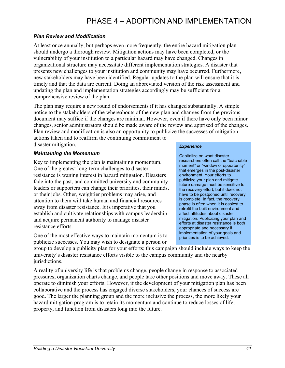### *Plan Review and Modification*

At least once annually, but perhaps even more frequently, the entire hazard mitigation plan should undergo a thorough review. Mitigation actions may have been completed, or the vulnerability of your institution to a particular hazard may have changed. Changes in organizational structure may necessitate different implementation strategies. A disaster that presents new challenges to your institution and community may have occurred. Furthermore, new stakeholders may have been identified. Regular updates to the plan will ensure that it is timely and that the data are current. Doing an abbreviated version of the risk assessment and updating the plan and implementation strategies accordingly may be sufficient for a comprehensive review of the plan.

The plan may require a new round of endorsements if it has changed substantially. A simple notice to the stakeholders of the whereabouts of the new plan and changes from the previous document may suffice if the changes are minimal. However, even if there have only been minor changes, senior administrators should be made aware of the review and apprised of the changes. Plan review and modification is also an opportunity to publicize the successes of mitigation

actions taken and to reaffirm the continuing commitment to disaster mitigation.

### *Maintaining the Momentum*

Key to implementing the plan is maintaining momentum. One of the greatest long-term challenges to disaster resistance is waning interest in hazard mitigation. Disasters fade into the past, and committed university and community leaders or supporters can change their priorities, their minds, or their jobs. Other, weightier problems may arise, and attention to them will take human and financial resources away from disaster resistance. It is imperative that you establish and cultivate relationships with campus leadership and acquire permanent authority to manage disaster resistance efforts.

One of the most effective ways to maintain momentum is to publicize successes. You may wish to designate a person or

#### *Experience*

Capitalize on what disaster researchers often call the "teachable moment" or "window of opportunity" that emerges in the post-disaster environment. Your efforts to publicize your plan and mitigate future damage must be sensitive to the recovery effort, but it does not have to be postponed until recovery is complete. In fact, the recovery phase is often when it is easiest to retrofit the built environment and affect attitudes about disaster mitigation. Publicizing your plan and efforts at disaster resistance is both appropriate and necessary if implementation of your goals and priorities is to be achieved.

group to develop a publicity plan for your efforts; this campaign should include ways to keep the university's disaster resistance efforts visible to the campus community and the nearby jurisdictions.

A reality of university life is that problems change, people change in response to associated pressures, organization charts change, and people take other positions and move away. These all operate to diminish your efforts. However, if the development of your mitigation plan has been collaborative and the process has engaged diverse stakeholders, your chances of success are good. The larger the planning group and the more inclusive the process, the more likely your hazard mitigation program is to retain its momentum and continue to reduce losses of life, property, and function from disasters long into the future.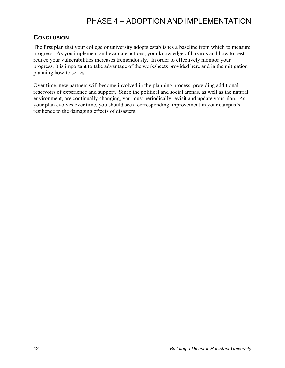### **CONCLUSION**

The first plan that your college or university adopts establishes a baseline from which to measure progress. As you implement and evaluate actions, your knowledge of hazards and how to best reduce your vulnerabilities increases tremendously. In order to effectively monitor your progress, it is important to take advantage of the worksheets provided here and in the mitigation planning how-to series.

Over time, new partners will become involved in the planning process, providing additional reservoirs of experience and support. Since the political and social arenas, as well as the natural environment, are continually changing, you must periodically revisit and update your plan. As your plan evolves over time, you should see a corresponding improvement in your campus's resilience to the damaging effects of disasters.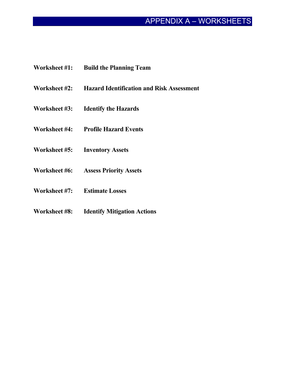# APPENDIX A – WORKSHEETS

- **Worksheet #1: Build the Planning Team**
- **Worksheet #2: Hazard Identification and Risk Assessment**
- **Worksheet #3: Identify the Hazards**
- **Worksheet #4: Profile Hazard Events**
- **Worksheet #5: Inventory Assets**
- **Worksheet #6: Assess Priority Assets**
- **Worksheet #7: Estimate Losses**
- **Worksheet #8: Identify Mitigation Actions**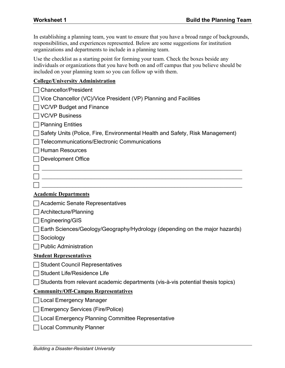In establishing a planning team, you want to ensure that you have a broad range of backgrounds, responsibilities, and experiences represented. Below are some suggestions for institution organizations and departments to include in a planning team.

Use the checklist as a starting point for forming your team. Check the boxes beside any individuals or organizations that you have both on and off campus that you believe should be included on your planning team so you can follow up with them.

### **College/University Administration**

| <b>Chancellor/President</b>                                                            |
|----------------------------------------------------------------------------------------|
| $\Box$ Vice Chancellor (VC)/Vice President (VP) Planning and Facilities                |
| ◯ VC/VP Budget and Finance                                                             |
| $\sqcap$ VC/VP Business                                                                |
| $\Box$ Planning Entities                                                               |
| Safety Units (Police, Fire, Environmental Health and Safety, Risk Management)          |
| <b>Telecommunications/Electronic Communications</b>                                    |
| $\Box$ Human Resources                                                                 |
| Development Office                                                                     |
|                                                                                        |
|                                                                                        |
|                                                                                        |
| <b>Academic Departments</b>                                                            |
| □ Academic Senate Representatives                                                      |
| Architecture/Planning                                                                  |
| $\Box$ Engineering/GIS                                                                 |
| Earth Sciences/Geology/Geography/Hydrology (depending on the major hazards)            |
| Sociology                                                                              |
| <b>Public Administration</b>                                                           |
| <b>Student Representatives</b>                                                         |
| □ Student Council Representatives                                                      |
| □ Student Life/Residence Life                                                          |
| $\Box$ Students from relevant academic departments (vis-à-vis potential thesis topics) |
| <b>Community/Off-Campus Representatives</b>                                            |
| Local Emergency Manager                                                                |
| <b>Emergency Services (Fire/Police)</b>                                                |
| Local Emergency Planning Committee Representative                                      |
| <b>Local Community Planner</b>                                                         |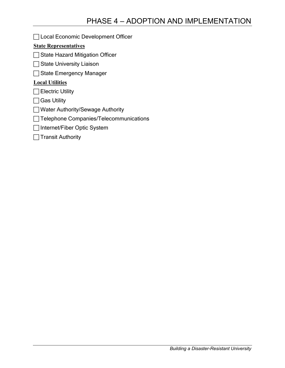**Example 2** Local Economic Development Officer

### **State Representatives**

- $\Box$  State Hazard Mitigation Officer
- $\Box$  State University Liaison
- □ State Emergency Manager

### **Local Utilities**

- $\Box$  Electric Utility
- $\Box$  Gas Utility
- **Nater Authority/Sewage Authority**
- Telephone Companies/Telecommunications
- $\Box$  Internet/Fiber Optic System
- $\Box$  Transit Authority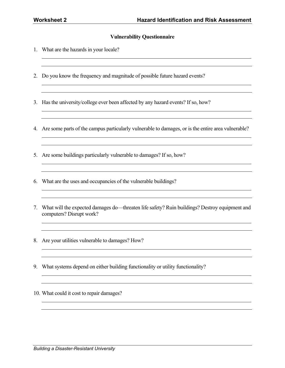### **Vulnerability Questionnaire**

- 1. What are the hazards in your locale?
- 2. Do you know the frequency and magnitude of possible future hazard events?
- 3. Has the university/college ever been affected by any hazard events? If so, how?
- 4. Are some parts of the campus particularly vulnerable to damages, or is the entire area vulnerable?

<u> 1989 - Andrea Station Barbara, amerikan personal di sebagai personal di sebagai personal di sebagai personal </u>

- 5. Are some buildings particularly vulnerable to damages? If so, how?
- 6. What are the uses and occupancies of the vulnerable buildings?
- 7. What will the expected damages do—threaten life safety? Ruin buildings? Destroy equipment and computers? Disrupt work?

<u> 1989 - Andrea Barbara, amerikana amerikana amerikana amerikana amerikana amerikana amerikana amerikana amerik</u> <u> 1989 - Johann Stoff, Amerikaansk politiker († 1908)</u>

<u> 1989 - Johann Stoff, deutscher Stoffen und der Stoffen und der Stoffen und der Stoffen und der Stoffen und d</u>

- 8. Are your utilities vulnerable to damages? How?
- 9. What systems depend on either building functionality or utility functionality?
- 10. What could it cost to repair damages?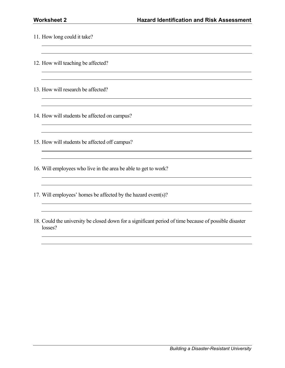- 11. How long could it take?
- 12. How will teaching be affected?
- 13. How will research be affected?
- 14. How will students be affected on campus?
- 15. How will students be affected off campus?
- 16. Will employees who live in the area be able to get to work?
- 17. Will employees' homes be affected by the hazard event(s)?
- 18. Could the university be closed down for a significant period of time because of possible disaster losses?

<u> 1989 - Johann Stoff, amerikansk politiker (d. 1989)</u>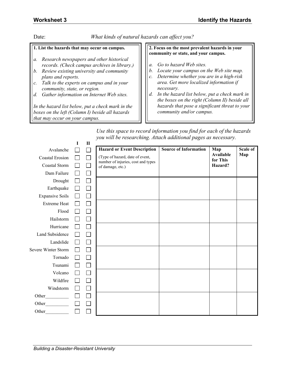Date: *What kinds of natural hazards can affect you?*

### **1. List the hazards that may occur on campus.**

- *a. Research newspapers and other historical records. (Check campus archives in library.)*
- *b. Review existing university and community plans and reports.*
- *c. Talk to the experts on campus and in your community, state, or region.*
- *d. Gather information on Internet Web sites.*

*In the hazard list below, put a check mark in the boxes on the left (Column I) beside all hazards that may occur on your campus.*

#### **2. Focus on the most prevalent hazards in your community or state, and your campus.**

- *a. Go to hazard Web sites.*
- *b. Locate your campus on the Web site map.*
- *c. Determine whether you are in a high-risk area. Get more localized information if necessary.*
- *d. In the hazard list below, put a check mark in the boxes on the right (Column II) beside all hazards that pose a significant threat to your community and/or campus.*

| Use this space to record information you find for each of the hazards |  |
|-----------------------------------------------------------------------|--|
| you will be researching. Attach additional pages as necessary.        |  |

|                            | I               | $\mathbf{I}$ |                                                                       |                              |                       |          |
|----------------------------|-----------------|--------------|-----------------------------------------------------------------------|------------------------------|-----------------------|----------|
| Avalanche                  |                 |              | <b>Hazard or Event Description</b>                                    | <b>Source of Information</b> | Map                   | Scale of |
| <b>Coastal Erosion</b>     | $\mathsf{L}$    | $\mathsf{L}$ | (Type of hazard, date of event,<br>number of injuries, cost and types |                              | Available<br>for This | Map      |
| Coastal Storm              |                 | $\mathbf{I}$ | of damage, etc.)                                                      |                              | Hazard?               |          |
| Dam Failure                |                 | $\mathbf{I}$ |                                                                       |                              |                       |          |
| Drought                    |                 |              |                                                                       |                              |                       |          |
| Earthquake                 |                 |              |                                                                       |                              |                       |          |
| <b>Expansive Soils</b>     |                 |              |                                                                       |                              |                       |          |
| <b>Extreme Heat</b>        |                 |              |                                                                       |                              |                       |          |
| Flood                      |                 |              |                                                                       |                              |                       |          |
| Hailstorm                  |                 |              |                                                                       |                              |                       |          |
| Hurricane                  |                 |              |                                                                       |                              |                       |          |
| <b>Land Subsidence</b>     |                 |              |                                                                       |                              |                       |          |
| Landslide                  | <b>Contract</b> |              |                                                                       |                              |                       |          |
| <b>Severe Winter Storm</b> |                 |              |                                                                       |                              |                       |          |
| Tornado                    |                 |              |                                                                       |                              |                       |          |
| Tsunami                    |                 |              |                                                                       |                              |                       |          |
| Volcano                    |                 |              |                                                                       |                              |                       |          |
| Wildfire                   |                 |              |                                                                       |                              |                       |          |
| Windstorm                  |                 |              |                                                                       |                              |                       |          |
| Other                      | $\mathbf{I}$    |              |                                                                       |                              |                       |          |
|                            |                 |              |                                                                       |                              |                       |          |
| Other                      |                 |              |                                                                       |                              |                       |          |
|                            |                 |              |                                                                       |                              |                       |          |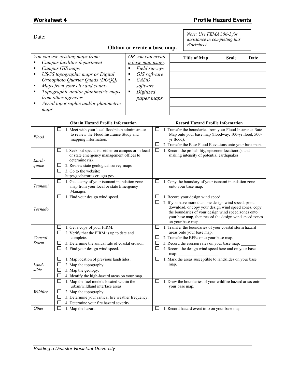*Note: Use FEMA 386-2 for assistance in completing this* 

*Worksheet.* 

Date:

### **Obtain or create a base map.**

| You can use existing maps from:                         | OR you can create        | Title of Map | <b>Scale</b> | Date |
|---------------------------------------------------------|--------------------------|--------------|--------------|------|
| Campus facilities department<br>. .                     | <i>a base map using:</i> |              |              |      |
| Campus GIS maps<br>٠.                                   | Field surveys            |              |              |      |
| USGS topographic maps or Digital<br>$\blacksquare$      | GIS software             |              |              |      |
| Orthophoto Quarter Quads (DOQQ)                         | <i>CADD</i>              |              |              |      |
| Maps from your city and county<br>ш.                    | software                 |              |              |      |
| Topographic and/or planimetric maps<br>×.               | Digitized                |              |              |      |
| from other agencies                                     | paper maps               |              |              |      |
| Aerial topographic and/or planimetric<br>$\blacksquare$ |                          |              |              |      |
| maps                                                    |                          |              |              |      |

#### **Obtain Hazard Profile Information Record Hazard Profile Information**

| Flood                   | 1. Meet with your local floodplain administrator<br>□<br>to review the Flood Insurance Study and<br>mapping information.                                                                                                                | □<br>1. Transfer the boundaries from your Flood Insurance Rate<br>Map onto your base map (floodway, 100-yr flood, 500-<br>yr flood).                                                                                                                                                                |
|-------------------------|-----------------------------------------------------------------------------------------------------------------------------------------------------------------------------------------------------------------------------------------|-----------------------------------------------------------------------------------------------------------------------------------------------------------------------------------------------------------------------------------------------------------------------------------------------------|
|                         |                                                                                                                                                                                                                                         | 2. Transfer the Base Flood Elevations onto your base map.<br>$\Box$                                                                                                                                                                                                                                 |
| Earth-<br>quake         | 1. Seek out specialists either on campus or in local<br>$\Box$<br>or state emergency management offices to<br>determine risk<br>2. Review state geological survey maps<br>3. Go to the website:<br>□<br>http://geohazards.cr.usgs.gov   | $\Box$<br>1. Record the probability, epicenter location(s), and<br>shaking intensity of potential earthquakes.                                                                                                                                                                                      |
| Tsunami                 | 1. Get a copy of your tsunami inundation zone<br>□<br>map from your local or state Emergency<br>Manager.                                                                                                                                | □<br>1. Copy the boundary of your tsunami inundation zone<br>onto your base map.                                                                                                                                                                                                                    |
| Tornado                 | 1. Find your design wind speed.<br>□                                                                                                                                                                                                    | □<br>1. Record your design wind speed:<br>□<br>2. If you have more than one design wind speed, print,<br>download, or copy your design wind speed zones, copy<br>the boundaries of your design wind speed zones onto<br>your base map, then record the design wind speed zones<br>on your base map. |
| Coastal<br><b>Storm</b> | 1. Get a copy of your FIRM.<br>ப<br>2. Verify that the FIRM is up to date and<br>complete.<br>3. Determine the annual rate of coastal erosion.<br>□<br>4. Find your design wind speed.                                                  | 1. Transfer the boundaries of your coastal storm hazard<br>⊔<br>areas onto your base map.<br>2. Transfer the BFEs onto your base map.<br>$\Box$<br>3. Record the erosion rates on your base map:<br>$\Box$<br>□<br>4. Record the design wind speed here and on your base<br>map:                    |
| Land-<br>slide          | 1. Map location of previous landslides.<br>ப<br>2. Map the topography.<br>3. Map the geology.<br>□<br>4. Identify the high-hazard areas on your map.                                                                                    | 1. Mark the areas susceptible to landslides on your base<br>□<br>map.                                                                                                                                                                                                                               |
| Wildfire<br>Other       | □<br>1. Map the fuel models located within the<br>urban/wildland interface areas.<br>2. Map the topography.<br>3. Determine your critical fire weather frequency.<br>4. Determine your fire hazard severity.<br>П<br>1. Map the hazard. | 1. Draw the boundaries of your wildfire hazard areas onto<br>□<br>your base map.<br>$\Box$<br>1. Record hazard event info on your base map.                                                                                                                                                         |
|                         |                                                                                                                                                                                                                                         |                                                                                                                                                                                                                                                                                                     |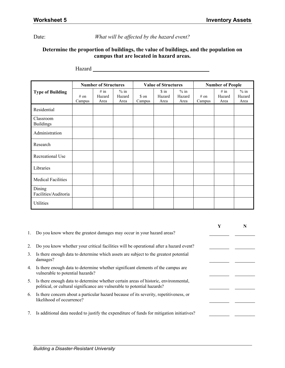Date: *What will be affected by the hazard event?* 

### **Determine the proportion of buildings, the value of buildings, and the population on campus that are located in hazard areas.**

|                                |                | <b>Number of Structures</b> |                          |                 | <b>Value of Structures</b> |                          | <b>Number of People</b> |                        |                          |  |
|--------------------------------|----------------|-----------------------------|--------------------------|-----------------|----------------------------|--------------------------|-------------------------|------------------------|--------------------------|--|
| <b>Type of Building</b>        | # on<br>Campus | # in<br>Hazard<br>Area      | $%$ in<br>Hazard<br>Area | \$ on<br>Campus | \$ in<br>Hazard<br>Area    | $%$ in<br>Hazard<br>Area | # on<br>Campus          | # in<br>Hazard<br>Area | $%$ in<br>Hazard<br>Area |  |
| Residential                    |                |                             |                          |                 |                            |                          |                         |                        |                          |  |
| Classroom<br><b>Buildings</b>  |                |                             |                          |                 |                            |                          |                         |                        |                          |  |
| Administration                 |                |                             |                          |                 |                            |                          |                         |                        |                          |  |
| Research                       |                |                             |                          |                 |                            |                          |                         |                        |                          |  |
| Recreational Use               |                |                             |                          |                 |                            |                          |                         |                        |                          |  |
| Libraries                      |                |                             |                          |                 |                            |                          |                         |                        |                          |  |
| <b>Medical Facilities</b>      |                |                             |                          |                 |                            |                          |                         |                        |                          |  |
| Dining<br>Facilities/Auditoria |                |                             |                          |                 |                            |                          |                         |                        |                          |  |
| Utilities                      |                |                             |                          |                 |                            |                          |                         |                        |                          |  |

Hazard

|    |                                                                                                                                                                 | Y | N |
|----|-----------------------------------------------------------------------------------------------------------------------------------------------------------------|---|---|
| 1. | Do you know where the greatest damages may occur in your hazard areas?                                                                                          |   |   |
| 2. | Do you know whether your critical facilities will be operational after a hazard event?                                                                          |   |   |
| 3. | Is there enough data to determine which assets are subject to the greatest potential<br>damages?                                                                |   |   |
| 4. | Is there enough data to determine whether significant elements of the campus are<br>vulnerable to potential hazards?                                            |   |   |
| 5. | Is there enough data to determine whether certain areas of historic, environmental,<br>political, or cultural significance are vulnerable to potential hazards? |   |   |
| 6. | Is there concern about a particular hazard because of its severity, repetitiveness, or<br>likelihood of occurrence?                                             |   |   |
| 7. | Is additional data needed to justify the expenditure of funds for mitigation initiatives?                                                                       |   |   |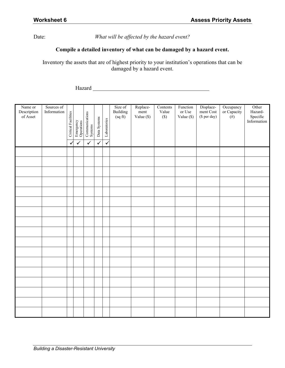Date: *What will be affected by the hazard event?* 

### **Compile a detailed inventory of what can be damaged by a hazard event.**

Inventory the assets that are of highest priority to your institution's operations that can be damaged by a hazard event.

Hazard

| Name or<br>Description<br>of Asset | Sources of<br>Information | <b>Critical Facilities</b> | Emergency<br>Operations | Communications<br>Systems | Data Systems | Laboratories | Size of<br>Building<br>(sqft) | Replace-<br>ment<br>Value (\$) | Contents<br>Value<br>$(\$)$ | Function<br>or Use<br>Value $(\$)$ | Displace-<br>ment Cost<br>(\$ per day) | Occupancy<br>or Capacity<br>$(\hat{H})$ | Other<br>Hazard-<br>${\rm Specific}$<br>Information |
|------------------------------------|---------------------------|----------------------------|-------------------------|---------------------------|--------------|--------------|-------------------------------|--------------------------------|-----------------------------|------------------------------------|----------------------------------------|-----------------------------------------|-----------------------------------------------------|
|                                    |                           | $\checkmark$               | $\checkmark$            | $\checkmark$              | $\checkmark$ | $\checkmark$ |                               |                                |                             |                                    |                                        |                                         |                                                     |
|                                    |                           |                            |                         |                           |              |              |                               |                                |                             |                                    |                                        |                                         |                                                     |
|                                    |                           |                            |                         |                           |              |              |                               |                                |                             |                                    |                                        |                                         |                                                     |
|                                    |                           |                            |                         |                           |              |              |                               |                                |                             |                                    |                                        |                                         |                                                     |
|                                    |                           |                            |                         |                           |              |              |                               |                                |                             |                                    |                                        |                                         |                                                     |
|                                    |                           |                            |                         |                           |              |              |                               |                                |                             |                                    |                                        |                                         |                                                     |
|                                    |                           |                            |                         |                           |              |              |                               |                                |                             |                                    |                                        |                                         |                                                     |
|                                    |                           |                            |                         |                           |              |              |                               |                                |                             |                                    |                                        |                                         |                                                     |
|                                    |                           |                            |                         |                           |              |              |                               |                                |                             |                                    |                                        |                                         |                                                     |
|                                    |                           |                            |                         |                           |              |              |                               |                                |                             |                                    |                                        |                                         |                                                     |
|                                    |                           |                            |                         |                           |              |              |                               |                                |                             |                                    |                                        |                                         |                                                     |
|                                    |                           |                            |                         |                           |              |              |                               |                                |                             |                                    |                                        |                                         |                                                     |
|                                    |                           |                            |                         |                           |              |              |                               |                                |                             |                                    |                                        |                                         |                                                     |
|                                    |                           |                            |                         |                           |              |              |                               |                                |                             |                                    |                                        |                                         |                                                     |
|                                    |                           |                            |                         |                           |              |              |                               |                                |                             |                                    |                                        |                                         |                                                     |
|                                    |                           |                            |                         |                           |              |              |                               |                                |                             |                                    |                                        |                                         |                                                     |
|                                    |                           |                            |                         |                           |              |              |                               |                                |                             |                                    |                                        |                                         |                                                     |
|                                    |                           |                            |                         |                           |              |              |                               |                                |                             |                                    |                                        |                                         |                                                     |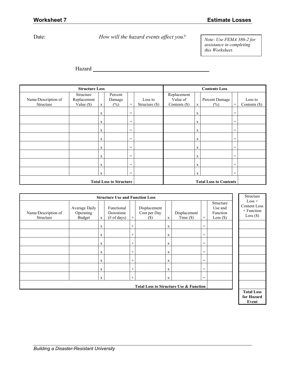### Date: *How will the hazard events affect you?*

*Note: Use FEMA 386-2 for assistance in completing this Worksheet.* 

Hazard

|                     | <b>Structure Loss</b>    |              |                                |                                   |                |                         | <b>Contents Loss</b>          |                |                                     |                 |
|---------------------|--------------------------|--------------|--------------------------------|-----------------------------------|----------------|-------------------------|-------------------------------|----------------|-------------------------------------|-----------------|
| Name/Description of | Structure<br>Replacement |              | Percent                        |                                   | Loss to        | Replacement<br>Value of |                               | Percent Damage |                                     | Loss to         |
|                     |                          |              | Damage                         | $=$                               |                |                         |                               |                | $\hspace*{0.2cm} = \hspace*{0.2cm}$ |                 |
| Structure           | Value $(\$)$             | $\mathbf{X}$ | $(\% )$                        |                                   | Structure (\$) | Contents (\$)           | X                             | $(\%)$         |                                     | Contents $(\$)$ |
|                     |                          | X            |                                | $=$                               |                |                         | X                             |                | $=$                                 |                 |
|                     |                          | X            |                                | $=$                               |                |                         | X                             |                | $\qquad \qquad =$                   |                 |
|                     |                          | X            |                                | $\hspace{1.6cm} = \hspace{1.6cm}$ |                |                         | X                             |                | $\qquad \qquad =$                   |                 |
|                     |                          | X            |                                | $=$                               |                |                         | X                             |                | $=$                                 |                 |
|                     |                          | X            |                                | $=$                               |                |                         | X                             |                | $=$                                 |                 |
|                     |                          | X            |                                | $=$                               |                |                         | X                             |                | $\qquad \qquad =$                   |                 |
|                     |                          | $\mathbf X$  |                                | $=$                               |                |                         | $\mathbf X$                   |                | $\qquad \qquad =$                   |                 |
|                     |                          | X            |                                | $=$                               |                |                         | X                             |                | $\qquad \qquad =$                   |                 |
|                     |                          |              | <b>Total Loss to Structure</b> |                                   |                |                         | <b>Total Loss to Contents</b> |                |                                     |                 |

| <b>Structure Use and Function Loss</b> |                                             |              |                                                  |        |                                                   |              |                       |     |                                                 |                                                       | Structure         |
|----------------------------------------|---------------------------------------------|--------------|--------------------------------------------------|--------|---------------------------------------------------|--------------|-----------------------|-----|-------------------------------------------------|-------------------------------------------------------|-------------------|
| Name/Description of<br>Structure       | Average Daily<br>Operating<br><b>Budget</b> | $\mathbf{X}$ | Functional<br>Downtime<br>$(\# \text{ of days})$ | $+$    | Displacement<br>Cost per Day<br>(S)               | $\mathbf{x}$ | Displacement<br>Time( | $=$ | Structure<br>Use and<br>Function<br>$Loss($ \$) | $Loss +$<br>Content Loss<br>+ Function<br>$Loss($ \$) |                   |
|                                        |                                             | X            |                                                  | $^{+}$ |                                                   | X            |                       | $=$ |                                                 |                                                       |                   |
|                                        |                                             | X            |                                                  | $^{+}$ |                                                   | $\mathbf X$  |                       | $=$ |                                                 |                                                       |                   |
|                                        |                                             | X            |                                                  | $^{+}$ |                                                   | $\mathbf X$  |                       | $=$ |                                                 |                                                       |                   |
|                                        |                                             | X            |                                                  | $^{+}$ |                                                   | $\mathbf X$  |                       | $=$ |                                                 |                                                       |                   |
|                                        |                                             | X            |                                                  | $^{+}$ |                                                   | $\mathbf X$  |                       | $=$ |                                                 |                                                       |                   |
|                                        |                                             | X            |                                                  | $^{+}$ |                                                   | $\mathbf X$  |                       | $=$ |                                                 |                                                       |                   |
|                                        |                                             | X            |                                                  | $^{+}$ |                                                   | $\mathbf X$  |                       | $=$ |                                                 |                                                       |                   |
|                                        |                                             |              |                                                  |        | <b>Total Loss to Structure Use &amp; Function</b> |              |                       |     |                                                 |                                                       |                   |
|                                        |                                             |              |                                                  |        |                                                   |              |                       |     |                                                 |                                                       | <b>Total Loss</b> |

**for Hazard Event**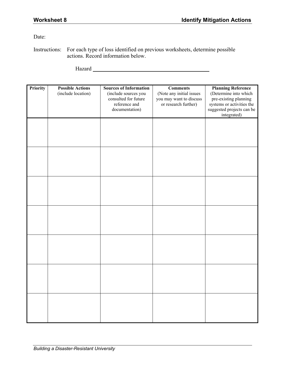Date:

Instructions: For each type of loss identified on previous worksheets, determine possible actions. Record information below.

Hazard **Market Community Hazard** 

| Priority | <b>Possible Actions</b><br>(include location) | <b>Sources of Information</b><br>(include sources you<br>consulted for future<br>reference and | <b>Comments</b><br>(Note any initial issues<br>you may want to discuss | <b>Planning Reference</b><br>(Determine into which<br>pre-existing planning |
|----------|-----------------------------------------------|------------------------------------------------------------------------------------------------|------------------------------------------------------------------------|-----------------------------------------------------------------------------|
|          |                                               | documentation)                                                                                 | or research further)                                                   | systems or activities the<br>suggested projects can be<br>integrated)       |
|          |                                               |                                                                                                |                                                                        |                                                                             |
|          |                                               |                                                                                                |                                                                        |                                                                             |
|          |                                               |                                                                                                |                                                                        |                                                                             |
|          |                                               |                                                                                                |                                                                        |                                                                             |
|          |                                               |                                                                                                |                                                                        |                                                                             |
|          |                                               |                                                                                                |                                                                        |                                                                             |
|          |                                               |                                                                                                |                                                                        |                                                                             |
|          |                                               |                                                                                                |                                                                        |                                                                             |
|          |                                               |                                                                                                |                                                                        |                                                                             |
|          |                                               |                                                                                                |                                                                        |                                                                             |
|          |                                               |                                                                                                |                                                                        |                                                                             |
|          |                                               |                                                                                                |                                                                        |                                                                             |
|          |                                               |                                                                                                |                                                                        |                                                                             |
|          |                                               |                                                                                                |                                                                        |                                                                             |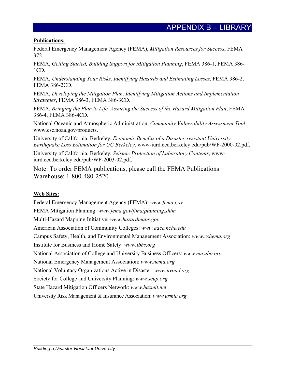### **Publications:**

Federal Emergency Management Agency (FEMA), *Mitigation Resources for Success*, FEMA 372.

FEMA, *Getting Started, Building Support for Mitigation Planning*, FEMA 386-1, FEMA 386- 1CD.

FEMA, *Understanding Your Risks, Identifying Hazards and Estimating Losses*, FEMA 386-2, FEMA 386-2CD.

FEMA, *Developing the Mitigation Plan, Identifying Mitigation Actions and Implementation Strategies*, FEMA 386-3, FEMA 386-3CD.

FEMA, *Bringing the Plan to Life, Assuring the Success of the Hazard Mitigation Plan*, FEMA 386-4, FEMA 386-4CD.

National Oceanic and Atmospheric Administration, *Community Vulnerability Assessment Tool*, www.csc.noaa.gov/products.

University of California, Berkeley, *Economic Benefits of a Disaster-resistant University: Earthquake Loss Estimation for UC Berkeley*, www-iurd.ced.berkeley.edu/pub/WP-2000-02.pdf.

University of California, Berkeley, *Seismic Protection of Laboratory Contents*, wwwiurd.ced.berkeley.edu/pub/WP-2003-02.pdf.

Note: To order FEMA publications, please call the FEMA Publications Warehouse: 1-800-480-2520

### **Web Sites:**

Federal Emergency Management Agency (FEMA): *www.fema.gov*  FEMA Mitigation Planning: *www.fema.gov/fima/planning.shtm*  Multi-Hazard Mapping Initiative: *www.hazardmaps.gov*  American Association of Community Colleges: *www.aacc.nche.edu* Campus Safety, Health, and Environmental Management Association: *www.cshema.org* Institute for Business and Home Safety: *www.ibhs.org* National Association of College and University Business Officers: *www.nacubo.org* National Emergency Management Association: *www.nema.org* National Voluntary Organizations Active in Disaster: *www.nvoad.org* Society for College and University Planning: *www.scup.org* State Hazard Mitigation Officers Network: *www.hazmit.net* University Risk Management & Insurance Association: *www.urmia.org*